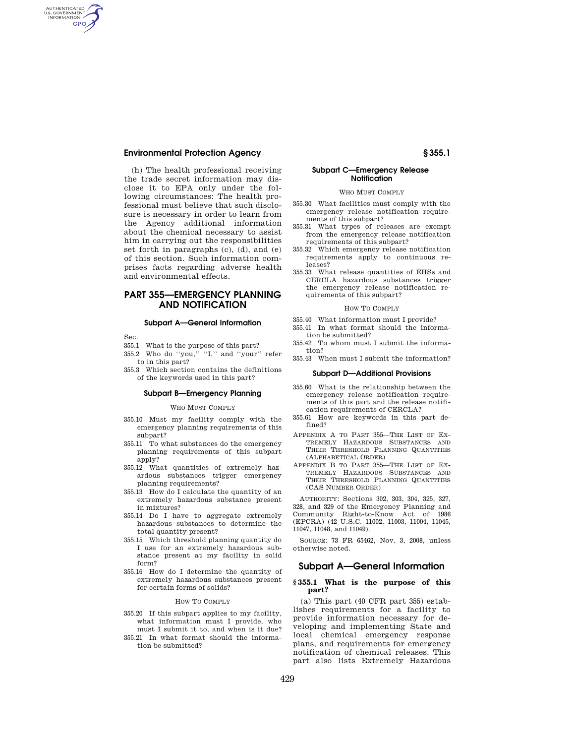(h) The health professional receiving the trade secret information may disclose it to EPA only under the following circumstances: The health professional must believe that such disclosure is necessary in order to learn from the Agency additional information about the chemical necessary to assist him in carrying out the responsibilities set forth in paragraphs (c), (d), and (e) of this section. Such information comprises facts regarding adverse health and environmental effects.

# **PART 355—EMERGENCY PLANNING AND NOTIFICATION**

## **Subpart A—General Information**

Sec.

AUTHENTICATED<br>U.S. GOVERNMENT<br>INFORMATION **GPO** 

- 355.1 What is the purpose of this part?
- 355.2 Who do "you," "I," and "your" refer
- to in this part? 355.3 Which section contains the definitions
- of the keywords used in this part?

#### **Subpart B—Emergency Planning**

### WHO MUST COMPLY

- 355.10 Must my facility comply with the emergency planning requirements of this subpart?
- 355.11 To what substances do the emergency planning requirements of this subpart apply?
- 355.12 What quantities of extremely hazardous substances trigger emergency planning requirements?
- 355.13 How do I calculate the quantity of an extremely hazardous substance present in mixtures?
- 355.14 Do I have to aggregate extremely hazardous substances to determine the total quantity present?
- 355.15 Which threshold planning quantity do I use for an extremely hazardous substance present at my facility in solid form?
- 355.16 How do I determine the quantity of extremely hazardous substances present for certain forms of solids?

#### HOW TO COMPLY

- 355.20 If this subpart applies to my facility, what information must I provide, who must I submit it to, and when is it due?
- 355.21 In what format should the information be submitted?

# **Subpart C—Emergency Release Notification**

WHO MUST COMPLY

- 355.30 What facilities must comply with the emergency release notification requirements of this subpart?
- 355.31 What types of releases are exempt from the emergency release notification requirements of this subpart?
- 355.32 Which emergency release notification requirements apply to continuous releases?
- 355.33 What release quantities of EHSs and CERCLA hazardous substances trigger the emergency release notification requirements of this subpart?

# HOW TO COMPLY

- 355.40 What information must I provide?
- 355.41 In what format should the information be submitted?
- 355.42 To whom must I submit the information?
- 355.43 When must I submit the information?

#### **Subpart D—Additional Provisions**

- 355.60 What is the relationship between the emergency release notification requirements of this part and the release notification requirements of CERCLA?
- 355.61 How are keywords in this part defined?
- APPENDIX A TO PART 355—THE LIST OF EX-TREMELY HAZARDOUS SUBSTANCES AND THEIR THRESHOLD PLANNING QUANTITIES (ALPHABETICAL ORDER)
- APPENDIX B TO PART 355—THE LIST OF EX-TREMELY HAZARDOUS SUBSTANCES AND THEIR THRESHOLD PLANNING QUANTITIES (CAS NUMBER ORDER)

AUTHORITY: Sections 302, 303, 304, 325, 327, 328, and 329 of the Emergency Planning and Community Right-to-Know Act of 1986 (EPCRA) (42 U.S.C. 11002, 11003, 11004, 11045, 11047, 11048, and 11049).

SOURCE: 73 FR 65462, Nov. 3, 2008, unless otherwise noted.

# **Subpart A—General Information**

## **§ 355.1 What is the purpose of this part?**

(a) This part (40 CFR part 355) establishes requirements for a facility to provide information necessary for developing and implementing State and local chemical emergency response plans, and requirements for emergency notification of chemical releases. This part also lists Extremely Hazardous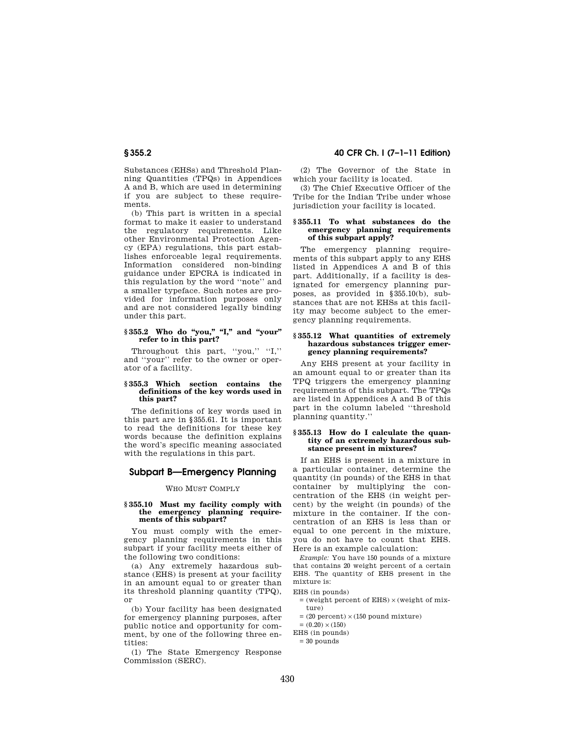Substances (EHSs) and Threshold Planning Quantities (TPQs) in Appendices A and B, which are used in determining if you are subject to these requirements.

(b) This part is written in a special format to make it easier to understand the regulatory requirements. Like other Environmental Protection Agency (EPA) regulations, this part establishes enforceable legal requirements. Information considered non-binding guidance under EPCRA is indicated in this regulation by the word ''note'' and a smaller typeface. Such notes are provided for information purposes only and are not considered legally binding under this part.

## § 355.2 Who do "you," "I," and "your" **refer to in this part?**

Throughout this part, "you," "I," and ''your'' refer to the owner or operator of a facility.

#### **§ 355.3 Which section contains the definitions of the key words used in this part?**

The definitions of key words used in this part are in §355.61. It is important to read the definitions for these key words because the definition explains the word's specific meaning associated with the regulations in this part.

# **Subpart B—Emergency Planning**

## WHO MUST COMPLY

### **§ 355.10 Must my facility comply with the emergency planning requirements of this subpart?**

You must comply with the emergency planning requirements in this subpart if your facility meets either of the following two conditions:

(a) Any extremely hazardous substance (EHS) is present at your facility in an amount equal to or greater than its threshold planning quantity (TPQ), or

(b) Your facility has been designated for emergency planning purposes, after public notice and opportunity for comment, by one of the following three entities:

(1) The State Emergency Response Commission (SERC).

# **§ 355.2 40 CFR Ch. I (7–1–11 Edition)**

(2) The Governor of the State in which your facility is located.

(3) The Chief Executive Officer of the Tribe for the Indian Tribe under whose jurisdiction your facility is located.

## **§ 355.11 To what substances do the emergency planning requirements of this subpart apply?**

The emergency planning requirements of this subpart apply to any EHS listed in Appendices A and B of this part. Additionally, if a facility is designated for emergency planning purposes, as provided in §355.10(b), substances that are not EHSs at this facility may become subject to the emergency planning requirements.

## **§ 355.12 What quantities of extremely hazardous substances trigger emergency planning requirements?**

Any EHS present at your facility in an amount equal to or greater than its TPQ triggers the emergency planning requirements of this subpart. The TPQs are listed in Appendices A and B of this part in the column labeled ''threshold planning quantity.''

## **§ 355.13 How do I calculate the quantity of an extremely hazardous substance present in mixtures?**

If an EHS is present in a mixture in a particular container, determine the quantity (in pounds) of the EHS in that container by multiplying the concentration of the EHS (in weight percent) by the weight (in pounds) of the mixture in the container. If the concentration of an EHS is less than or equal to one percent in the mixture, you do not have to count that EHS. Here is an example calculation:

*Example:* You have 150 pounds of a mixture that contains 20 weight percent of a certain EHS. The quantity of EHS present in the mixture is:

EHS (in pounds)

- $=$  (weight percent of EHS)  $\times$  (weight of mixture)
- $=$  (20 percent)  $\times$  (150 pound mixture)
- $= (0.20) \times (150)$
- EHS (in pounds)
- $= 30$  pounds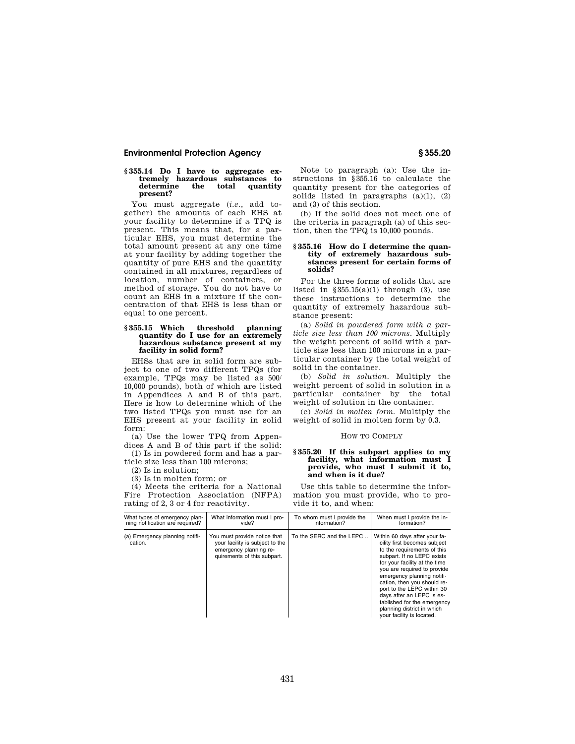# **§ 355.14 Do I have to aggregate ex-tremely hazardous substances to determine the total quantity present?**

You must aggregate (*i.e.*, add together) the amounts of each EHS at your facility to determine if a TPQ is present. This means that, for a particular EHS, you must determine the total amount present at any one time at your facility by adding together the quantity of pure EHS and the quantity contained in all mixtures, regardless of location, number of containers, or method of storage. You do not have to count an EHS in a mixture if the concentration of that EHS is less than or equal to one percent.

# **§ 355.15 Which threshold planning quantity do I use for an extremely hazardous substance present at my facility in solid form?**

EHSs that are in solid form are subject to one of two different TPQs (for example, TPQs may be listed as 500/ 10,000 pounds), both of which are listed in Appendices A and B of this part. Here is how to determine which of the two listed TPQs you must use for an EHS present at your facility in solid form:

(a) Use the lower TPQ from Appendices A and B of this part if the solid:

(1) Is in powdered form and has a particle size less than 100 microns;

(2) Is in solution;

(3) Is in molten form; or

(4) Meets the criteria for a National Fire Protection Association (NFPA) rating of 2, 3 or 4 for reactivity.

Note to paragraph (a): Use the instructions in §355.16 to calculate the quantity present for the categories of solids listed in paragraphs  $(a)(1)$ ,  $(2)$ and (3) of this section.

(b) If the solid does not meet one of the criteria in paragraph (a) of this section, then the TPQ is 10,000 pounds.

## **§ 355.16 How do I determine the quantity of extremely hazardous substances present for certain forms of solids?**

For the three forms of solids that are listed in  $$355.15(a)(1)$  through (3), use these instructions to determine the quantity of extremely hazardous substance present:

(a) *Solid in powdered form with a particle size less than 100 microns.* Multiply the weight percent of solid with a particle size less than 100 microns in a particular container by the total weight of solid in the container.

(b) *Solid in solution.* Multiply the weight percent of solid in solution in a particular container by the total weight of solution in the container.

(c) *Solid in molten form.* Multiply the weight of solid in molten form by 0.3.

#### HOW TO COMPLY

#### **§ 355.20 If this subpart applies to my facility, what information must I provide, who must I submit it to, and when is it due?**

Use this table to determine the information you must provide, who to provide it to, and when:

| What types of emergency plan-             | What information must I pro-                                                                                             | To whom must I provide the | When must I provide the in-                                                                                                                                                                                                                                                                                                                                                                                  |
|-------------------------------------------|--------------------------------------------------------------------------------------------------------------------------|----------------------------|--------------------------------------------------------------------------------------------------------------------------------------------------------------------------------------------------------------------------------------------------------------------------------------------------------------------------------------------------------------------------------------------------------------|
| ning notification are required?           | vide?                                                                                                                    | information?               | formation?                                                                                                                                                                                                                                                                                                                                                                                                   |
| (a) Emergency planning notifi-<br>cation. | You must provide notice that<br>your facility is subject to the<br>emergency planning re-<br>quirements of this subpart. | To the SERC and the LEPC   | Within 60 days after your fa-<br>cility first becomes subject<br>to the requirements of this<br>subpart. If no LEPC exists<br>for your facility at the time<br>you are required to provide<br>emergency planning notifi-<br>cation, then you should re-<br>port to the LEPC within 30<br>days after an LEPC is es-<br>tablished for the emergency<br>planning district in which<br>your facility is located. |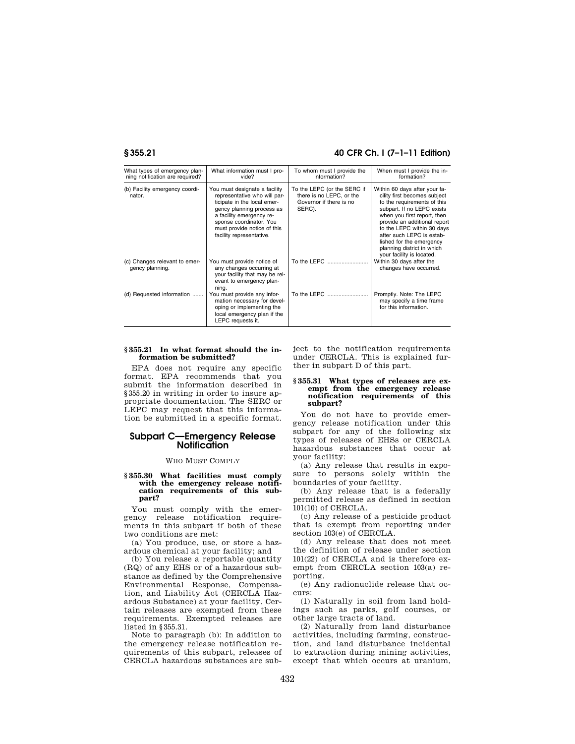# **§ 355.21 40 CFR Ch. I (7–1–11 Edition)**

| What types of emergency plan-<br>ning notification are required? | What information must I pro-<br>vide?                                                                                                                                                                                                       | To whom must I provide the<br>information?                                                   | When must I provide the in-<br>formation?                                                                                                                                                                                                                                                                                                   |
|------------------------------------------------------------------|---------------------------------------------------------------------------------------------------------------------------------------------------------------------------------------------------------------------------------------------|----------------------------------------------------------------------------------------------|---------------------------------------------------------------------------------------------------------------------------------------------------------------------------------------------------------------------------------------------------------------------------------------------------------------------------------------------|
| (b) Facility emergency coordi-<br>nator.                         | You must designate a facility<br>representative who will par-<br>ticipate in the local emer-<br>gency planning process as<br>a facility emergency re-<br>sponse coordinator. You<br>must provide notice of this<br>facility representative. | To the LEPC (or the SERC if<br>there is no LEPC, or the<br>Governor if there is no<br>SERC). | Within 60 days after your fa-<br>cility first becomes subject<br>to the requirements of this<br>subpart. If no LEPC exists<br>when you first report, then<br>provide an additional report<br>to the LEPC within 30 days<br>after such LEPC is estab-<br>lished for the emergency<br>planning district in which<br>your facility is located. |
| (c) Changes relevant to emer-<br>gency planning.                 | You must provide notice of<br>any changes occurring at<br>your facility that may be rel-<br>evant to emergency plan-<br>ning.                                                                                                               | To the LEPC                                                                                  | Within 30 days after the<br>changes have occurred.                                                                                                                                                                                                                                                                                          |
| (d) Requested information                                        | You must provide any infor-<br>mation necessary for devel-<br>oping or implementing the<br>local emergency plan if the<br>LEPC requests it.                                                                                                 | To the LEPC                                                                                  | Promptly. Note: The LEPC<br>may specify a time frame<br>for this information.                                                                                                                                                                                                                                                               |

# **§ 355.21 In what format should the information be submitted?**

EPA does not require any specific format. EPA recommends that you submit the information described in §355.20 in writing in order to insure appropriate documentation. The SERC or LEPC may request that this information be submitted in a specific format.

# **Subpart C—Emergency Release Notification**

# WHO MUST COMPLY

## **§ 355.30 What facilities must comply with the emergency release notification requirements of this subpart?**

You must comply with the emergency release notification requirements in this subpart if both of these two conditions are met:

(a) You produce, use, or store a hazardous chemical at your facility; and

(b) You release a reportable quantity (RQ) of any EHS or of a hazardous substance as defined by the Comprehensive Environmental Response, Compensation, and Liability Act (CERCLA Hazardous Substance) at your facility. Certain releases are exempted from these requirements. Exempted releases are listed in §355.31.

Note to paragraph (b): In addition to the emergency release notification requirements of this subpart, releases of CERCLA hazardous substances are subject to the notification requirements under CERCLA. This is explained further in subpart D of this part.

## **§ 355.31 What types of releases are exempt from the emergency release notification requirements of this subpart?**

You do not have to provide emergency release notification under this subpart for any of the following six types of releases of EHSs or CERCLA hazardous substances that occur at your facility:

(a) Any release that results in exposure to persons solely within the boundaries of your facility.

(b) Any release that is a federally permitted release as defined in section 101(10) of CERCLA.

(c) Any release of a pesticide product that is exempt from reporting under section  $103(e)$  of CERCLA.

(d) Any release that does not meet the definition of release under section 101(22) of CERCLA and is therefore exempt from CERCLA section 103(a) reporting.

(e) Any radionuclide release that occurs:

(1) Naturally in soil from land holdings such as parks, golf courses, or other large tracts of land.

(2) Naturally from land disturbance activities, including farming, construction, and land disturbance incidental to extraction during mining activities, except that which occurs at uranium,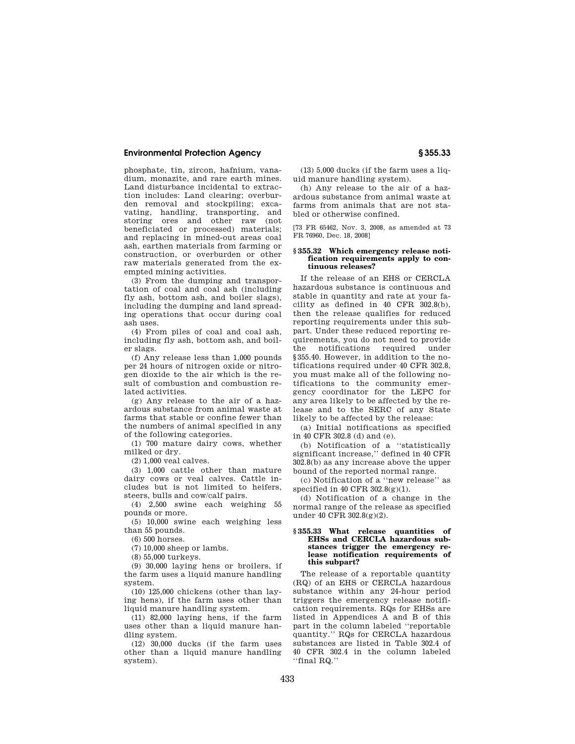phosphate, tin, zircon, hafnium, vanadium, monazite, and rare earth mines. Land disturbance incidental to extraction includes: Land clearing; overburden removal and stockpiling; excavating, handling, transporting, and<br>storing ores and other raw (not storing ores and other raw beneficiated or processed) materials; and replacing in mined-out areas coal ash, earthen materials from farming or construction, or overburden or other raw materials generated from the exempted mining activities.

(3) From the dumping and transportation of coal and coal ash (including fly ash, bottom ash, and boiler slags), including the dumping and land spreading operations that occur during coal ash uses.

(4) From piles of coal and coal ash, including fly ash, bottom ash, and boiler slags.

(f) Any release less than 1,000 pounds per 24 hours of nitrogen oxide or nitrogen dioxide to the air which is the result of combustion and combustion related activities.

(g) Any release to the air of a hazardous substance from animal waste at farms that stable or confine fewer than the numbers of animal specified in any of the following categories.

(1) 700 mature dairy cows, whether milked or dry.

(2) 1,000 veal calves.

(3) 1,000 cattle other than mature dairy cows or veal calves. Cattle includes but is not limited to heifers, steers, bulls and cow/calf pairs.

(4) 2,500 swine each weighing 55 pounds or more.

(5) 10,000 swine each weighing less than 55 pounds.

(6) 500 horses.

(7) 10,000 sheep or lambs.

(8) 55,000 turkeys.

(9) 30,000 laying hens or broilers, if the farm uses a liquid manure handling system.

(10) 125,000 chickens (other than laying hens), if the farm uses other than liquid manure handling system.

(11) 82,000 laying hens, if the farm uses other than a liquid manure handling system.

(12) 30,000 ducks (if the farm uses other than a liquid manure handling system).

(13) 5,000 ducks (if the farm uses a liquid manure handling system).

(h) Any release to the air of a hazardous substance from animal waste at farms from animals that are not stabled or otherwise confined.

[73 FR 65462, Nov. 3, 2008, as amended at 73 FR 76960, Dec. 18, 2008]

### **§ 355.32 Which emergency release notification requirements apply to continuous releases?**

If the release of an EHS or CERCLA hazardous substance is continuous and stable in quantity and rate at your facility as defined in 40 CFR 302.8(b), then the release qualifies for reduced reporting requirements under this subpart. Under these reduced reporting requirements, you do not need to provide the notifications required under §355.40. However, in addition to the notifications required under 40 CFR 302.8, you must make all of the following notifications to the community emergency coordinator for the LEPC for any area likely to be affected by the release and to the SERC of any State likely to be affected by the release:

(a) Initial notifications as specified in 40 CFR 302.8 (d) and (e).

(b) Notification of a ''statistically significant increase,'' defined in 40 CFR 302.8(b) as any increase above the upper bound of the reported normal range.

(c) Notification of a ''new release'' as specified in 40 CFR 302.8(g)(1).

(d) Notification of a change in the normal range of the release as specified under 40 CFR 302.8(g)(2).

## **§ 355.33 What release quantities of EHSs and CERCLA hazardous substances trigger the emergency release notification requirements of this subpart?**

The release of a reportable quantity (RQ) of an EHS or CERCLA hazardous substance within any 24-hour period triggers the emergency release notification requirements. RQs for EHSs are listed in Appendices A and B of this part in the column labeled ''reportable quantity.'' RQs for CERCLA hazardous substances are listed in Table 302.4 of 40 CFR 302.4 in the column labeled ''final RQ.''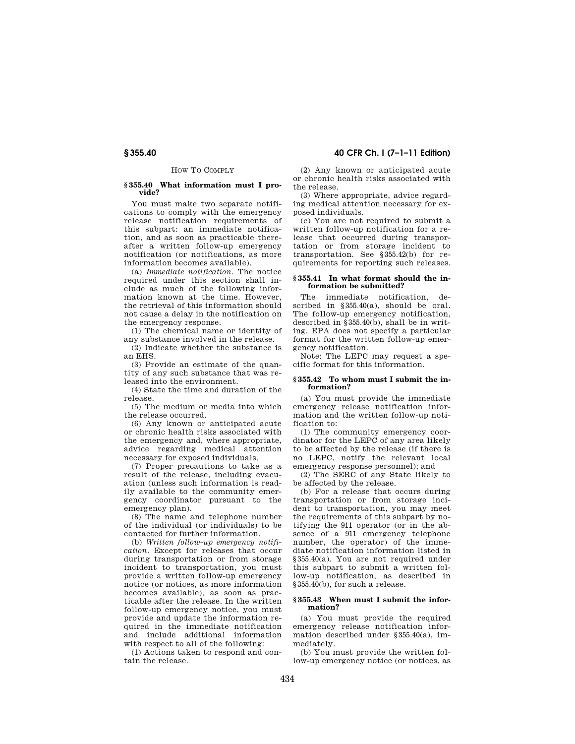# HOW TO COMPLY

#### **§ 355.40 What information must I provide?**

You must make two separate notifications to comply with the emergency release notification requirements of this subpart: an immediate notification, and as soon as practicable thereafter a written follow-up emergency notification (or notifications, as more information becomes available).

(a) *Immediate notification.* The notice required under this section shall include as much of the following information known at the time. However, the retrieval of this information should not cause a delay in the notification on the emergency response.

(1) The chemical name or identity of any substance involved in the release.

(2) Indicate whether the substance is an EHS.

(3) Provide an estimate of the quantity of any such substance that was released into the environment.

(4) State the time and duration of the release.

(5) The medium or media into which the release occurred.

(6) Any known or anticipated acute or chronic health risks associated with the emergency and, where appropriate, advice regarding medical attention necessary for exposed individuals.

(7) Proper precautions to take as a result of the release, including evacuation (unless such information is readily available to the community emergency coordinator pursuant to the emergency plan).

(8) The name and telephone number of the individual (or individuals) to be contacted for further information.

(b) *Written follow-up emergency notification.* Except for releases that occur during transportation or from storage incident to transportation, you must provide a written follow-up emergency notice (or notices, as more information becomes available), as soon as practicable after the release. In the written follow-up emergency notice, you must provide and update the information required in the immediate notification and include additional information with respect to all of the following:

(1) Actions taken to respond and contain the release.

**§ 355.40 40 CFR Ch. I (7–1–11 Edition)** 

(2) Any known or anticipated acute or chronic health risks associated with the release.

(3) Where appropriate, advice regarding medical attention necessary for exposed individuals.

(c) You are not required to submit a written follow-up notification for a release that occurred during transportation or from storage incident to transportation. See §355.42(b) for requirements for reporting such releases.

## **§ 355.41 In what format should the information be submitted?**

The immediate notification, described in §355.40(a), should be oral. The follow-up emergency notification, described in §355.40(b), shall be in writing. EPA does not specify a particular format for the written follow-up emergency notification.

Note: The LEPC may request a specific format for this information.

### **§ 355.42 To whom must I submit the information?**

(a) You must provide the immediate emergency release notification information and the written follow-up notification to:

(1) The community emergency coordinator for the LEPC of any area likely to be affected by the release (if there is no LEPC, notify the relevant local emergency response personnel); and

(2) The SERC of any State likely to be affected by the release.

(b) For a release that occurs during transportation or from storage incident to transportation, you may meet the requirements of this subpart by notifying the 911 operator (or in the absence of a 911 emergency telephone number, the operator) of the immediate notification information listed in §355.40(a). You are not required under this subpart to submit a written follow-up notification, as described in §355.40(b), for such a release.

## **§ 355.43 When must I submit the information?**

(a) You must provide the required emergency release notification information described under §355.40(a), immediately.

(b) You must provide the written follow-up emergency notice (or notices, as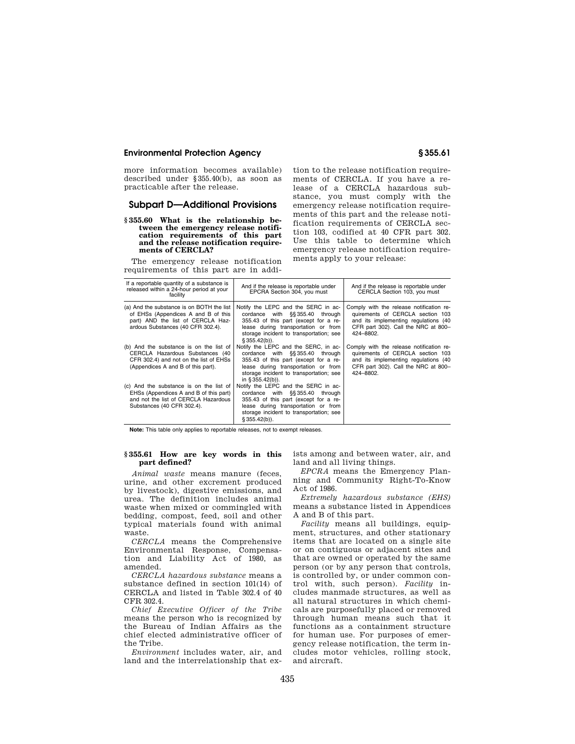more information becomes available) described under §355.40(b), as soon as practicable after the release.

# **Subpart D—Additional Provisions**

#### **§ 355.60 What is the relationship between the emergency release notification requirements of this part and the release notification requirements of CERCLA?**

The emergency release notification requirements of this part are in addition to the release notification requirements of CERCLA. If you have a release of a CERCLA hazardous substance, you must comply with the emergency release notification requirements of this part and the release notification requirements of CERCLA section 103, codified at 40 CFR part 302. Use this table to determine which emergency release notification requirements apply to your release:

| If a reportable quantity of a substance is<br>released within a 24-hour period at your<br>facility                                                         | And if the release is reportable under<br>EPCRA Section 304, you must                                                                                                                                                    | And if the release is reportable under<br>CERCLA Section 103, you must                                                                                                   |
|------------------------------------------------------------------------------------------------------------------------------------------------------------|--------------------------------------------------------------------------------------------------------------------------------------------------------------------------------------------------------------------------|--------------------------------------------------------------------------------------------------------------------------------------------------------------------------|
| (a) And the substance is on BOTH the list<br>of EHSs (Appendices A and B of this<br>part) AND the list of CERCLA Haz-<br>ardous Substances (40 CFR 302.4). | Notify the LEPC and the SERC in ac-<br>cordance with §§355.40 through<br>355.43 of this part (except for a re-<br>lease during transportation or from<br>storage incident to transportation; see<br>$$355.42(b)$ ).      | Comply with the release notification re-<br>quirements of CERCLA section 103<br>and its implementing regulations (40<br>CFR part 302). Call the NRC at 800-<br>424-8802. |
| (b) And the substance is on the list of<br>CERCLA Hazardous Substances (40<br>CFR 302.4) and not on the list of EHSs<br>(Appendices A and B of this part). | Notify the LEPC and the SERC, in ac-<br>cordance with §§355.40 through<br>355.43 of this part (except for a re-<br>lease during transportation or from<br>storage incident to transportation; see<br>in $§ 355.42(b)$ ). | Comply with the release notification re-<br>quirements of CERCLA section 103<br>and its implementing regulations (40<br>CFR part 302). Call the NRC at 800-<br>424-8802. |
| (c) And the substance is on the list of<br>EHSs (Appendices A and B of this part)<br>and not the list of CERCLA Hazardous<br>Substances (40 CFR 302.4).    | Notify the LEPC and the SERC in ac-<br>cordance with §§355.40 through<br>355.43 of this part (except for a re-<br>lease during transportation or from<br>storage incident to transportation; see<br>$$355.42(b)$ ).      |                                                                                                                                                                          |

**Note:** This table only applies to reportable releases, not to exempt releases.

# **§ 355.61 How are key words in this part defined?**

*Animal waste* means manure (feces, urine, and other excrement produced by livestock), digestive emissions, and urea. The definition includes animal waste when mixed or commingled with bedding, compost, feed, soil and other typical materials found with animal waste.

*CERCLA* means the Comprehensive Environmental Response, Compensation and Liability Act of 1980, as amended.

*CERCLA hazardous substance* means a substance defined in section 101(14) of CERCLA and listed in Table 302.4 of 40 CFR 302.4.

*Chief Executive Officer of the Tribe*  means the person who is recognized by the Bureau of Indian Affairs as the chief elected administrative officer of the Tribe.

*Environment* includes water, air, and land and the interrelationship that exists among and between water, air, and land and all living things.

*EPCRA* means the Emergency Planning and Community Right-To-Know Act of 1986.

*Extremely hazardous substance (EHS)*  means a substance listed in Appendices A and B of this part.

*Facility* means all buildings, equipment, structures, and other stationary items that are located on a single site or on contiguous or adjacent sites and that are owned or operated by the same person (or by any person that controls, is controlled by, or under common control with, such person). *Facility* includes manmade structures, as well as all natural structures in which chemicals are purposefully placed or removed through human means such that it functions as a containment structure for human use. For purposes of emergency release notification, the term includes motor vehicles, rolling stock, and aircraft.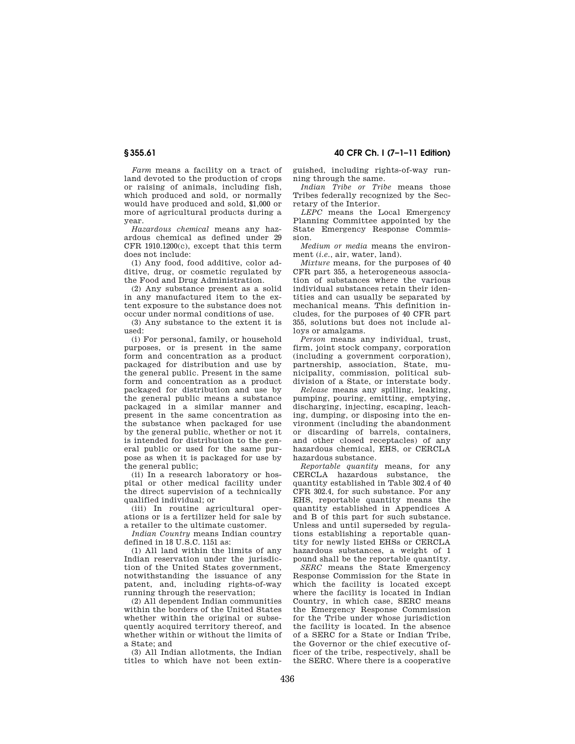*Farm* means a facility on a tract of land devoted to the production of crops or raising of animals, including fish, which produced and sold, or normally would have produced and sold, \$1,000 or more of agricultural products during a year.

*Hazardous chemical* means any hazardous chemical as defined under 29 CFR 1910.1200(c), except that this term does not include:

(1) Any food, food additive, color additive, drug, or cosmetic regulated by the Food and Drug Administration.

(2) Any substance present as a solid in any manufactured item to the extent exposure to the substance does not occur under normal conditions of use.

(3) Any substance to the extent it is used:

(i) For personal, family, or household purposes, or is present in the same form and concentration as a product packaged for distribution and use by the general public. Present in the same form and concentration as a product packaged for distribution and use by the general public means a substance packaged in a similar manner and present in the same concentration as the substance when packaged for use by the general public, whether or not it is intended for distribution to the general public or used for the same purpose as when it is packaged for use by the general public;

(ii) In a research laboratory or hospital or other medical facility under the direct supervision of a technically qualified individual; or

(iii) In routine agricultural operations or is a fertilizer held for sale by a retailer to the ultimate customer.

*Indian Country* means Indian country defined in 18 U.S.C. 1151 as:

(1) All land within the limits of any Indian reservation under the jurisdiction of the United States government, notwithstanding the issuance of any patent, and, including rights-of-way running through the reservation;

(2) All dependent Indian communities within the borders of the United States whether within the original or subsequently acquired territory thereof, and whether within or without the limits of a State; and

(3) All Indian allotments, the Indian titles to which have not been extin-

**§ 355.61 40 CFR Ch. I (7–1–11 Edition)** 

guished, including rights-of-way running through the same.

*Indian Tribe or Tribe* means those Tribes federally recognized by the Secretary of the Interior.

*LEPC* means the Local Emergency Planning Committee appointed by the State Emergency Response Commission.

*Medium or media* means the environment (*i.e.*, air, water, land).

*Mixture* means, for the purposes of 40 CFR part 355, a heterogeneous association of substances where the various individual substances retain their identities and can usually be separated by mechanical means. This definition includes, for the purposes of 40 CFR part 355, solutions but does not include alloys or amalgams.

*Person* means any individual, trust, firm, joint stock company, corporation (including a government corporation), partnership, association, State, municipality, commission, political subdivision of a State, or interstate body.

*Release* means any spilling, leaking, pumping, pouring, emitting, emptying, discharging, injecting, escaping, leaching, dumping, or disposing into the environment (including the abandonment or discarding of barrels, containers, and other closed receptacles) of any hazardous chemical, EHS, or CERCLA hazardous substance.

*Reportable quantity* means, for any CERCLA hazardous substance, the quantity established in Table 302.4 of 40 CFR 302.4, for such substance. For any EHS, reportable quantity means the quantity established in Appendices A and B of this part for such substance. Unless and until superseded by regulations establishing a reportable quantity for newly listed EHSs or CERCLA hazardous substances, a weight of 1 pound shall be the reportable quantity.

*SERC* means the State Emergency Response Commission for the State in which the facility is located except where the facility is located in Indian Country, in which case, SERC means the Emergency Response Commission for the Tribe under whose jurisdiction the facility is located. In the absence of a SERC for a State or Indian Tribe, the Governor or the chief executive officer of the tribe, respectively, shall be the SERC. Where there is a cooperative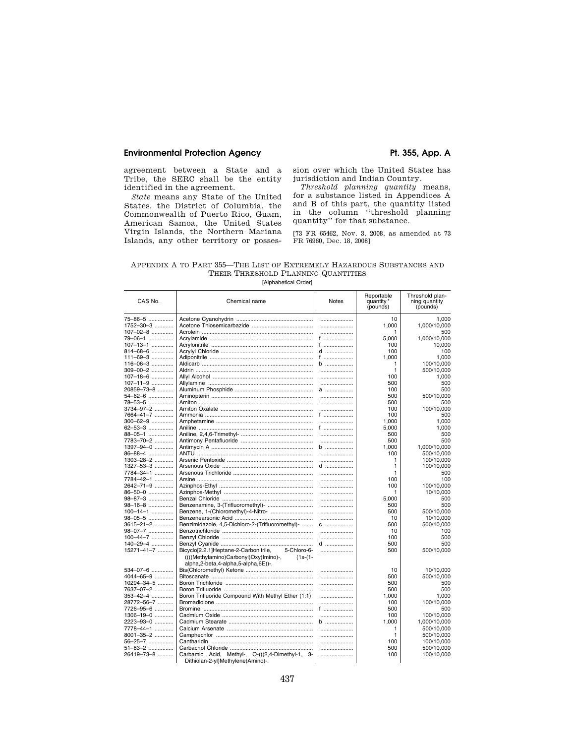# Environmental Protection Agency **Pt. 355, App. A**

agreement between a State and a Tribe, the SERC shall be the entity identified in the agreement.

*State* means any State of the United States, the District of Columbia, the Commonwealth of Puerto Rico, Guam, American Samoa, the United States Virgin Islands, the Northern Mariana Islands, any other territory or possession over which the United States has jurisdiction and Indian Country.

*Threshold planning quantity* means, for a substance listed in Appendices A and B of this part, the quantity listed in the column ''threshold planning quantity'' for that substance.

[73 FR 65462, Nov. 3, 2008, as amended at 73 FR 76960, Dec. 18, 2008]

# APPENDIX A TO PART 355—THE LIST OF EXTREMELY HAZARDOUS SUBSTANCES AND THEIR THRESHOLD PLANNING QUANTITIES

| CAS No.         | Chemical name                                                                             | <b>Notes</b> | Reportable<br>quantity *<br>(pounds) | Threshold plan-<br>ning quantity<br>(pounds) |
|-----------------|-------------------------------------------------------------------------------------------|--------------|--------------------------------------|----------------------------------------------|
| 75-86-5         |                                                                                           |              | 10                                   | 1.000                                        |
| $1752 - 30 - 3$ |                                                                                           |              | 1.000                                | 1,000/10,000                                 |
| 107-02-8        |                                                                                           |              | 1                                    | 500                                          |
| 79-06-1         |                                                                                           | f            | 5,000                                | 1,000/10,000                                 |
| 107-13-1        |                                                                                           | f            | 100                                  | 10,000                                       |
| 814-68-6        |                                                                                           | d            | 100                                  | 100                                          |
| $111 - 69 - 3$  |                                                                                           | f ………………     | 1.000                                | 1.000                                        |
| $116 - 06 - 3$  |                                                                                           | b            | 1                                    | 100/10,000                                   |
| $309 - 00 - 2$  |                                                                                           |              | 1                                    | 500/10,000                                   |
| $107 - 18 - 6$  |                                                                                           |              | 100                                  | 1,000                                        |
| 107-11-9        |                                                                                           |              | 500                                  | 500                                          |
| 20859-73-8      |                                                                                           | a            | 100                                  | 500                                          |
| 54-62-6         |                                                                                           |              | 500                                  | 500/10,000                                   |
| 78-53-5         |                                                                                           |              | 500                                  | 500                                          |
| 3734-97-2       |                                                                                           |              | 100                                  | 100/10,000                                   |
| 7664-41-7       |                                                                                           | f            | 100                                  | 500                                          |
| 300-62-9        |                                                                                           |              | 1,000                                | 1,000                                        |
| 62-53-3         |                                                                                           | f            | 5,000                                | 1,000                                        |
| 88-05-1         |                                                                                           |              | 500                                  | 500                                          |
| 7783-70-2       |                                                                                           |              | 500                                  | 500                                          |
| 1397-94-0       |                                                                                           | $b$          | 1,000                                | 1,000/10,000                                 |
| 86-88-4         |                                                                                           |              | 100                                  | 500/10,000                                   |
| 1303-28-2       |                                                                                           |              | 1                                    | 100/10,000                                   |
| 1327-53-3       |                                                                                           | $d$          | 1                                    | 100/10,000                                   |
| 7784-34-1       |                                                                                           |              | 1                                    | 500                                          |
| 7784-42-1       |                                                                                           |              | 100                                  | 100                                          |
| 2642-71-9       |                                                                                           |              | 100                                  | 100/10,000                                   |
| 86-50-0         |                                                                                           |              | 1                                    | 10/10,000                                    |
| 98-87-3         |                                                                                           |              | 5,000                                | 500                                          |
| $98 - 16 - 8$   |                                                                                           |              | 500                                  | 500                                          |
| $100 - 14 - 1$  | Benzene, 1-(Chloromethyl)-4-Nitro-                                                        |              | 500                                  | 500/10,000                                   |
| 98-05-5         |                                                                                           |              | 10                                   | 10/10,000                                    |
| 3615-21-2       | Benzimidazole, 4,5-Dichloro-2-(Trifluoromethyl)-                                          | $C$          | 500                                  | 500/10,000                                   |
| 98-07-7         |                                                                                           |              | 10                                   | 100                                          |
| $100 - 44 - 7$  |                                                                                           |              | 100                                  | 500                                          |
| 140-29-4        |                                                                                           | d            | 500                                  | 500                                          |
| 15271-41-7      | Bicyclo[2.2.1]Heptane-2-Carbonitrile,<br>5-Chloro-6-                                      |              | 500                                  | 500/10,000                                   |
|                 | ((((Methylamino)Carbonyl)Oxy)Imino)-,<br>$(1s-(1-$<br>alpha,2-beta,4-alpha,5-alpha,6E))-. |              |                                      |                                              |
| 534-07-6        |                                                                                           |              | 10                                   | 10/10,000                                    |
| 4044-65-9       |                                                                                           |              | 500                                  | 500/10,000                                   |
| 10294-34-5      |                                                                                           |              | 500                                  | 500                                          |
| 7637-07-2       |                                                                                           |              | 500                                  | 500                                          |
| 353-42-4        | Boron Trifluoride Compound With Methyl Ether (1:1)                                        |              | 1,000                                | 1,000                                        |
| 28772-56-7      |                                                                                           |              | 100                                  | 100/10,000                                   |
| 7726-95-6       |                                                                                           | f            | 500                                  | 500                                          |
| $1306 - 19 - 0$ |                                                                                           |              | 100                                  | 100/10.000                                   |
| 2223-93-0       |                                                                                           | $b$          | 1,000                                | 1,000/10,000                                 |
| 7778-44-1       |                                                                                           |              | 1                                    | 500/10,000                                   |
| 8001-35-2       |                                                                                           |              | 1                                    | 500/10,000                                   |
| 56-25-7         |                                                                                           |              | 100                                  | 100/10,000                                   |
| 51-83-2         |                                                                                           |              | 500                                  | 500/10,000                                   |
| 26419-73-8      | Carbamic Acid, Methyl-, O-(((2,4-Dimethyl-1, 3-                                           |              | 100                                  | 100/10,000                                   |
|                 | Dithiolan-2-yl)Methylene)Amino)-.                                                         |              |                                      |                                              |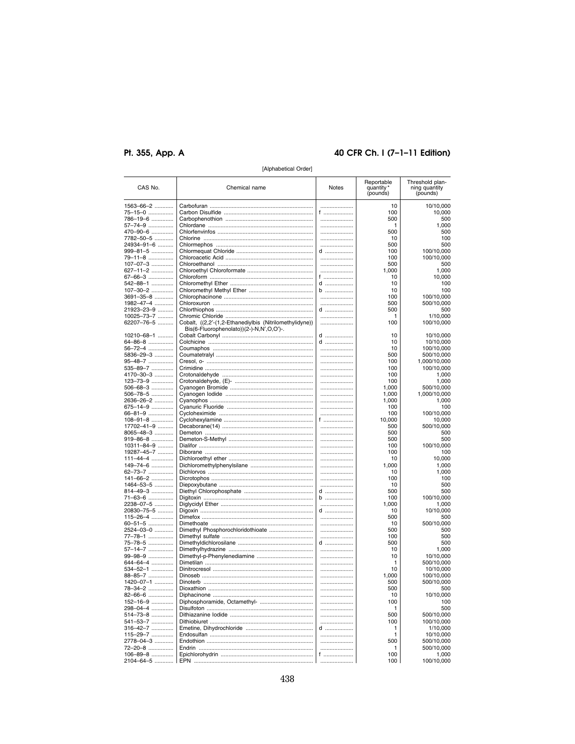# Pt. 355, App. A

# 40 CFR Ch. I (7-1-11 Edition)

| CAS No.          | Chemical name                                                                                       | Notes     | Reportable<br>quantity'<br>(pounds) | Threshold plan-<br>ning quantity<br>(pounds) |
|------------------|-----------------------------------------------------------------------------------------------------|-----------|-------------------------------------|----------------------------------------------|
| 1563-66-2        |                                                                                                     |           | 10                                  | 10/10,000                                    |
| 75-15-0          |                                                                                                     | f         | 100                                 | 10,000                                       |
| 786-19-6         |                                                                                                     |           | 500                                 | 500                                          |
| 57–74–9          |                                                                                                     |           | 1                                   | 1,000                                        |
| 470-90-6         |                                                                                                     |           | 500                                 | 500                                          |
| 7782-50-5        |                                                                                                     |           | 10                                  | 100                                          |
| 24934-91-6       |                                                                                                     |           | 500                                 | 500                                          |
| 999-81-5         |                                                                                                     | d         | 100                                 | 100/10,000                                   |
| 79-11-8          |                                                                                                     |           | 100                                 | 100/10,000                                   |
| 107-07-3         |                                                                                                     |           | 500                                 | 500                                          |
| 627-11-2         |                                                                                                     |           | 1,000                               | 1,000                                        |
| 67-66-3          |                                                                                                     | f         | 10                                  | 10,000                                       |
| 542-88-1         |                                                                                                     | d         | 10                                  | 100                                          |
| 107-30-2         |                                                                                                     | b         | 10                                  | 100                                          |
| 3691–35–8        |                                                                                                     |           | 100                                 | 100/10,000                                   |
| 1982-47-4        |                                                                                                     |           | 500                                 | 500/10,000                                   |
| 21923-23-9       |                                                                                                     | d         | 500                                 | 500                                          |
| 10025-73-7       |                                                                                                     |           | 1                                   | 1/10,000                                     |
| 62207-76-5       |                                                                                                     |           | 100                                 | 100/10,000                                   |
|                  | Cobalt, ((2,2'-(1,2-Ethanediylbis (Nitrilomethylidyne))<br>Bis(6-Fluorophenolato))(2-)-N,N',O,O')-. |           |                                     |                                              |
| $10210 - 68 - 1$ |                                                                                                     | d         | 10                                  | 10/10,000                                    |
| 64-86-8          |                                                                                                     | d         | 10                                  | 10/10,000                                    |
| 56-72-4          |                                                                                                     |           | 10                                  | 100/10,000                                   |
| 5836-29-3        |                                                                                                     |           | 500                                 | 500/10,000                                   |
| 95-48-7          |                                                                                                     |           | 100                                 | 1,000/10,000                                 |
| 535-89-7         |                                                                                                     |           | 100                                 | 100/10,000                                   |
| 4170-30-3        |                                                                                                     |           | 100                                 | 1,000                                        |
| 123-73-9         |                                                                                                     |           | 100                                 | 1,000                                        |
| 506-68-3         |                                                                                                     |           | 1,000                               | 500/10,000                                   |
| 506-78-5         |                                                                                                     |           | 1,000                               | 1,000/10,000                                 |
| 2636-26-2        |                                                                                                     |           | 1,000                               | 1,000                                        |
| 675-14-9         |                                                                                                     |           | 100                                 | 100                                          |
| 66-81-9          |                                                                                                     |           | 100                                 | 100/10,000                                   |
| $108 - 91 - 8$   |                                                                                                     | f ………………… | 10,000                              | 10,000                                       |
| 17702-41-9       |                                                                                                     |           | 500                                 | 500/10,000                                   |
| 8065-48-3        |                                                                                                     |           | 500                                 | 500                                          |
| 919-86-8         |                                                                                                     |           | 500                                 | 500                                          |
| 10311–84–9       |                                                                                                     |           | 100                                 | 100/10,000                                   |
| 19287-45-7       |                                                                                                     |           | 100                                 | 100                                          |
| 111-44-4         |                                                                                                     |           | 10                                  | 10,000                                       |
| 149-74-6         |                                                                                                     |           | 1,000                               | 1,000                                        |
| 62-73-7          |                                                                                                     |           | 10                                  | 1,000                                        |
| 141-66-2         |                                                                                                     |           | 100                                 | 100                                          |
| 1464-53-5        |                                                                                                     |           | 10                                  | 500                                          |
| 814-49-3         |                                                                                                     | d         | 500                                 | 500                                          |
| 71-63-6          |                                                                                                     | b         | 100                                 | 100/10,000                                   |
| 2238-07-5        |                                                                                                     |           | 1,000                               | 1,000                                        |
| 20830-75-5       |                                                                                                     | d         | 10                                  | 10/10,000                                    |
| 115-26-4         |                                                                                                     |           | 500                                 | 500                                          |
| 60-51-5          |                                                                                                     |           | 10                                  | 500/10,000                                   |
| 2524-03-0        |                                                                                                     |           | 500                                 | 500                                          |
| 77-78-1          |                                                                                                     |           | 100                                 | 500                                          |
| 75-78-5          |                                                                                                     | $d$       | 500                                 | 500                                          |
| 57-14-7          |                                                                                                     |           | 10                                  | 1,000                                        |
| 99-98-9          |                                                                                                     |           | 10                                  | 10/10,000                                    |
| 644-64-4         |                                                                                                     |           | 1                                   | 500/10,000                                   |
| 534-52-1         |                                                                                                     |           | 10                                  | 10/10,000                                    |
| 88-85-7          |                                                                                                     |           | 1,000                               | 100/10,000                                   |
| 1420-07-1        |                                                                                                     |           | 500                                 | 500/10,000                                   |
| 78-34-2          |                                                                                                     |           | 500                                 | 500                                          |
| 82-66-6          |                                                                                                     |           | 10                                  | 10/10,000                                    |
| 152-16-9         |                                                                                                     |           | 100                                 | 100                                          |
| 298-04-4         |                                                                                                     |           | 1                                   | 500                                          |
| 514-73-8         |                                                                                                     |           | 500                                 | 500/10,000                                   |
| 541-53-7         |                                                                                                     |           | 100                                 | 100/10,000                                   |
| 316-42-7         |                                                                                                     | $d$       | 1                                   | 1/10,000                                     |
| 115-29-7         |                                                                                                     |           | 1                                   | 10/10,000                                    |
| 2778-04-3        |                                                                                                     |           | 500                                 | 500/10,000                                   |
| 72-20-8          |                                                                                                     |           | 1                                   | 500/10,000                                   |
| 106-89-8         |                                                                                                     | f         | 100                                 | 1,000                                        |
| 2104-64-5        |                                                                                                     |           | 100                                 | 100/10,000                                   |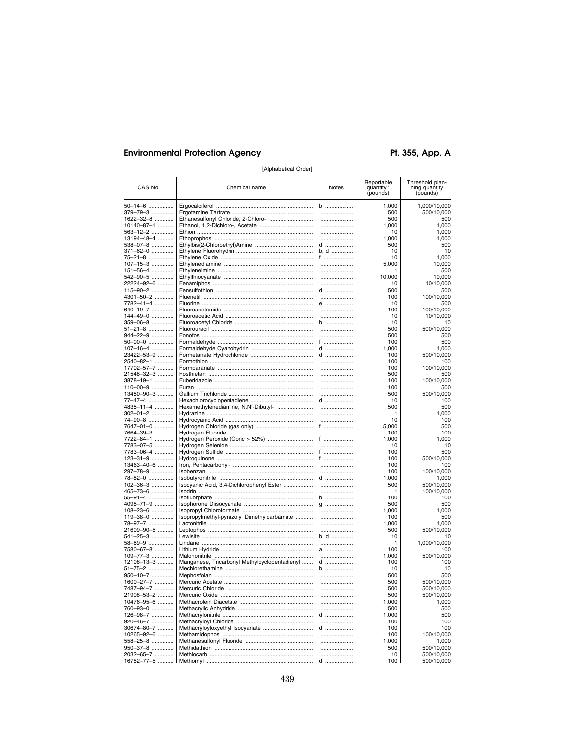Pt. 355, App. A

| CAS No.                 | Chemical name                                 | Notes            | Reportable<br>quantity<br>(pounds) | Threshold plan-<br>ning quantity<br>(pounds) |
|-------------------------|-----------------------------------------------|------------------|------------------------------------|----------------------------------------------|
| 50-14-6                 |                                               | b                | 1,000                              | 1,000/10,000                                 |
| 379-79-3                |                                               |                  | 500                                | 500/10,000                                   |
| 1622-32-8               | Ethanesulfonyl Chloride, 2-Chloro-            |                  | 500                                | 500                                          |
| 10140-87-1              |                                               |                  | 1,000                              | 1,000                                        |
| 563-12-2                |                                               |                  | 10                                 | 1.000                                        |
| 13194-48-4              |                                               |                  | 1,000                              | 1,000                                        |
| 538-07-8                |                                               | d                | 500                                | 500                                          |
| 371-62-0                |                                               | b, d<br>f ……………… | 10<br>10                           | 10<br>1,000                                  |
| 75-21-8<br>107-15-3     |                                               |                  | 5,000                              | 10,000                                       |
| 151-56-4                |                                               |                  |                                    | 500                                          |
| 542-90-5                |                                               |                  | 10,000                             | 10,000                                       |
| 22224-92-6              |                                               |                  | 10                                 | 10/10,000                                    |
| 115-90-2                |                                               | $d$              | 500                                | 500                                          |
| 4301-50-2               |                                               |                  | 100                                | 100/10,000                                   |
| 7782-41-4               |                                               | $e$              | 10                                 | 500                                          |
| 640-19-7                |                                               |                  | 100                                | 100/10,000                                   |
| 144-49-0                |                                               |                  | 10                                 | 10/10,000                                    |
| 359-06-8                |                                               | b                | 10                                 | 10                                           |
| 51-21-8                 |                                               |                  | 500                                | 500/10,000                                   |
| 944-22-9                |                                               |                  | 500                                | 500                                          |
| 50-00-0                 |                                               | f                | 100                                | 500                                          |
| $107 - 16 - 4$          |                                               | d                | 1,000                              | 1,000                                        |
| 23422-53-9              |                                               | $d$              | 100                                | 500/10,000                                   |
| 2540-82-1<br>17702-57-7 |                                               |                  | 100<br>100                         | 100<br>100/10,000                            |
| 21548-32-3              |                                               |                  | 500                                | 500                                          |
| 3878-19-1               |                                               |                  | 100                                | 100/10,000                                   |
| 110-00-9                |                                               |                  | 100                                | 500                                          |
| 13450-90-3              |                                               |                  | 500                                | 500/10,000                                   |
| 77-47-4                 |                                               | d                | 10                                 | 100                                          |
| 4835-11-4               | Hexamethylenediamine, N,N'-Dibutyl-           |                  | 500                                | 500                                          |
| 302-01-2                |                                               |                  | 1                                  | 1,000                                        |
| 74-90-8                 |                                               |                  | 10                                 | 100                                          |
| 7647-01-0               |                                               | f                | 5,000                              | 500                                          |
| 7664-39-3               |                                               |                  | 100                                | 100                                          |
| 7722-84-1               | Hydrogen Peroxide (Conc > 52%)                | f $\sim$ $\sim$  | 1,000                              | 1,000                                        |
| 7783-07-5               |                                               |                  | 10                                 | 10                                           |
| 7783-06-4               |                                               | f                | 100                                | 500                                          |
| 123-31-9                |                                               | f<br>            | 100                                | 500/10,000                                   |
| 13463-40-6              |                                               |                  | 100<br>100                         | 100<br>100/10,000                            |
| 297-78-9<br>78-82-0     |                                               | d                | 1,000                              | 1,000                                        |
| $102 - 36 - 3$          | Isocyanic Acid, 3,4-Dichlorophenyl Ester      | .                | 500                                | 500/10,000                                   |
| 465-73-6                |                                               |                  | 1                                  | 100/10,000                                   |
| 55-91-4                 |                                               | b                | 100                                | 100                                          |
| 4098-71-9               |                                               | g                | 500                                | 500                                          |
| 108-23-6                |                                               |                  | 1,000                              | 1,000                                        |
| 119-38-0                | Isopropylmethyl-pyrazolyl Dimethylcarbamate   |                  | 100                                | 500                                          |
| 78-97-7                 |                                               |                  | 1,000                              | 1,000                                        |
| 21609-90-5              |                                               |                  | 500                                | 500/10,000                                   |
| 541-25-3                |                                               | b, d             | 10                                 | 10                                           |
| 58-89-9                 |                                               |                  | 1                                  | 1,000/10,000                                 |
| 7580-67-8               |                                               |                  | 100                                | 100                                          |
| 109-77-3                |                                               |                  | 1,000                              | 500/10,000                                   |
| 12108-13-3              | Manganese, Tricarbonyl Methylcyclopentadienyl | d<br>$b$         | 100<br>10                          | 100<br>10                                    |
| 51-75-2<br>950-10-7     |                                               |                  | 500                                | 500                                          |
| 1600-27-7               |                                               |                  | 500                                | 500/10,000                                   |
| 7487-94-7               |                                               |                  | 500                                | 500/10.000                                   |
| 21908-53-2              |                                               |                  | 500                                | 500/10,000                                   |
| 10476-95-6              |                                               |                  | 1,000                              | 1.000                                        |
| 760-93-0                |                                               |                  | 500                                | 500                                          |
| 126-98-7                |                                               | d                | 1,000                              | 500                                          |
| 920-46-7                |                                               |                  | 100                                | 100                                          |
| 30674-80-7              | Methacryloyloxyethyl Isocyanate               | d                | 100                                | 100                                          |
| 10265-92-6              |                                               |                  | 100                                | 100/10,000                                   |
| 558-25-8                |                                               |                  | 1,000                              | 1.000                                        |
| 950-37-8                |                                               |                  | 500                                | 500/10,000                                   |
| 2032-65-7               |                                               |                  | 10                                 | 500/10,000                                   |
| 16752-77-5              |                                               | d                | 100                                | 500/10,000                                   |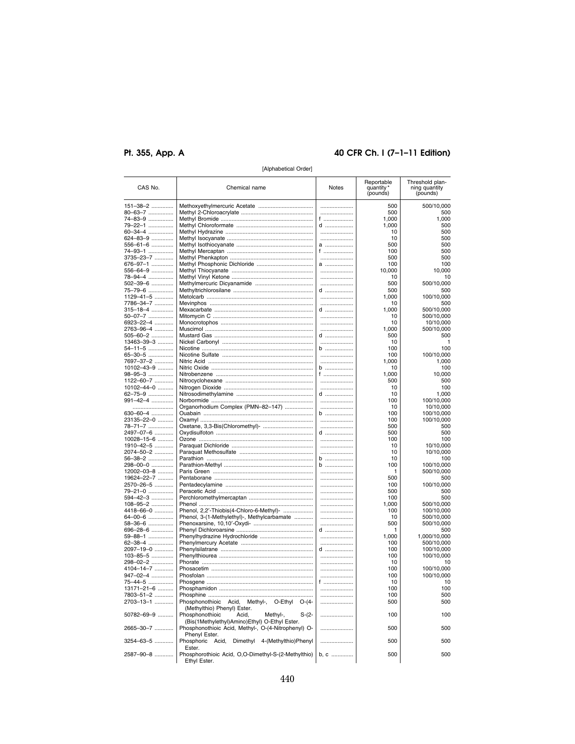# Pt. 355, App. A

# 40 CFR Ch. I (7-1-11 Edition)

| CAS No.                         | Chemical name                                                                 | <b>Notes</b> | Reportable<br>quantity'<br>(pounds) | Threshold plan-<br>ning quantity<br>(pounds) |
|---------------------------------|-------------------------------------------------------------------------------|--------------|-------------------------------------|----------------------------------------------|
| 151–38–2                        |                                                                               |              | 500                                 | 500/10,000                                   |
| 80–63–7 ……………                   |                                                                               |              | 500                                 | 500                                          |
| 74–83–9                         |                                                                               | f ………………     | 1,000                               | 1,000                                        |
| 79–22–1 ……………                   |                                                                               | d            | 1,000                               | 500                                          |
| 60–34–4 ……………                   |                                                                               |              | 10                                  | 500                                          |
| 624–83–9                        |                                                                               |              | 10                                  | 500                                          |
| 556–61–6                        |                                                                               | a            | 500                                 | 500                                          |
| 74–93–1                         |                                                                               | f            | 100                                 | 500                                          |
| 3735–23–7                       |                                                                               |              | 500                                 | 500                                          |
| 676–97–1 ……………                  |                                                                               | a            | 100                                 | 100                                          |
| 556–64–9                        |                                                                               |              | 10,000                              | 10,000                                       |
| 78–94–4 ……………<br>502–39–6 …………… |                                                                               | <br>         | 10<br>500                           | 10                                           |
| 75–79–6                         |                                                                               | d            | 500                                 | 500/10,000<br>500                            |
| 1129–41–5                       |                                                                               |              | 1,000                               | 100/10,000                                   |
| 7786–34–7 …………                  |                                                                               |              | 10                                  | 500                                          |
| 315–18–4                        |                                                                               | d            | 1,000                               | 500/10,000                                   |
| 50–07–7 ……………                   |                                                                               |              | 10                                  | 500/10,000                                   |
| 6923–22–4                       |                                                                               |              | 10                                  | 10/10,000                                    |
| 2763–96–4                       |                                                                               |              | 1,000                               | 500/10,000                                   |
| 505–60–2 ……………                  |                                                                               | d            | 500                                 | 500                                          |
| 13463-39-3                      |                                                                               |              | 10                                  |                                              |
| 54–11–5                         |                                                                               | b            | 100                                 | 100                                          |
| 65–30–5                         |                                                                               |              | 100                                 | 100/10,000                                   |
| 7697–37–2 …………                  |                                                                               |              | 1,000                               | 1,000                                        |
| 10102-43-9                      |                                                                               | $b$          | 10                                  | 100                                          |
| 98–95–3                         |                                                                               | f            | 1,000                               | 10,000                                       |
| 1122–60–7                       |                                                                               |              | 500                                 | 500                                          |
| 10102-44-0                      |                                                                               |              | 10                                  | 100                                          |
| 62–75–9 …………….                  |                                                                               | d            | 10                                  | 1,000                                        |
| 991–42–4                        |                                                                               |              | 100                                 | 100/10,000                                   |
|                                 | Organorhodium Complex (PMN-82-147)                                            |              | 10                                  | 10/10,000                                    |
| 630–60–4 ……………                  |                                                                               | b            | 100                                 | 100/10,000                                   |
| 23135–22–0 ……….                 |                                                                               |              | 100                                 | 100/10,000                                   |
| 78–71–7 ……………                   |                                                                               | d            | 500                                 | 500                                          |
| 2497–07–6 …………<br>10028-15-6    |                                                                               |              | 500<br>100                          | 500<br>100                                   |
| 1910–42–5                       |                                                                               |              | 10                                  | 10/10,000                                    |
| 2074–50–2                       |                                                                               |              | 10                                  | 10/10,000                                    |
| 56–38–2                         |                                                                               | b            | 10                                  | 100                                          |
| 298–00–0                        |                                                                               | b            | 100                                 | 100/10,000                                   |
| 12002-03-8                      |                                                                               |              | 1                                   | 500/10,000                                   |
| 19624–22–7                      |                                                                               |              | 500                                 | 500                                          |
| 2570–26–5 …………                  |                                                                               |              | 100                                 | 100/10,000                                   |
| 79–21–0                         |                                                                               |              | 500                                 | 500                                          |
| 594–42–3                        |                                                                               |              | 100                                 | 500                                          |
| 108-95-2                        |                                                                               |              | 1,000                               | 500/10,000                                   |
| 4418–66–0                       | Phenol, 2,2'-Thiobis(4-Chloro-6-Methyl)-                                      |              | 100                                 | 100/10,000                                   |
| 64–00–6                         | Phenol, 3-(1-Methylethyl)-, Methylcarbamate                                   |              | 10                                  | 500/10,000                                   |
| 58–36–6                         |                                                                               |              | 500                                 | 500/10,000                                   |
| 696–28–6 ……………                  |                                                                               | d            | 1                                   | 500                                          |
| 59–88–1                         |                                                                               |              | 1,000                               | 1,000/10,000                                 |
| 62–38–4                         |                                                                               |              | 100                                 | 500/10,000                                   |
| 2097–19–0 …………                  |                                                                               | d            | 100                                 | 100/10,000                                   |
| 103-85-5                        |                                                                               |              | 100                                 | 100/10,000                                   |
| 298–02–2 ……………                  |                                                                               |              | 10                                  | 10                                           |
| 4104–14–7 …………                  |                                                                               |              | 100                                 | 100/10,000                                   |
| 947–02–4 ……………                  |                                                                               |              | 100                                 | 100/10,000                                   |
| 75–44–5 ……………                   |                                                                               | f ………………     | 10                                  | 10                                           |
| 13171-21-6                      |                                                                               |              | 100                                 | 100                                          |
| 7803–51–2 …………                  |                                                                               |              | 100                                 | 500                                          |
| 2703–13–1                       | Phosphonothioic Acid, Methyl-, O-Ethyl O-(4-                                  |              | 500                                 | 500                                          |
| 50782-69-9                      | (Methylthio) Phenyl) Ester.<br>Phosphonothioic<br>Acid,<br>S-(2-              |              | 100                                 | 100                                          |
|                                 | Methyl-,<br>(Bis(1Methylethyl)Amino)Ethyl) O-Ethyl Ester.                     |              |                                     |                                              |
| 2665–30–7                       | Phosphonothioic Acid, Methyl-, O-(4-Nitrophenyl) O-                           |              | 500                                 | 500                                          |
|                                 | Phenyl Ester.                                                                 |              |                                     |                                              |
| 3254–63–5                       | Phosphoric Acid, Dimethyl 4-(Methylthio)Phenyl                                |              | 500                                 | 500                                          |
| 2587–90–8 …………                  | Ester.<br>Phosphorothioic Acid, O,O-Dimethyl-S-(2-Methylthio)<br>Ethyl Ester. | b, c         | 500                                 | 500                                          |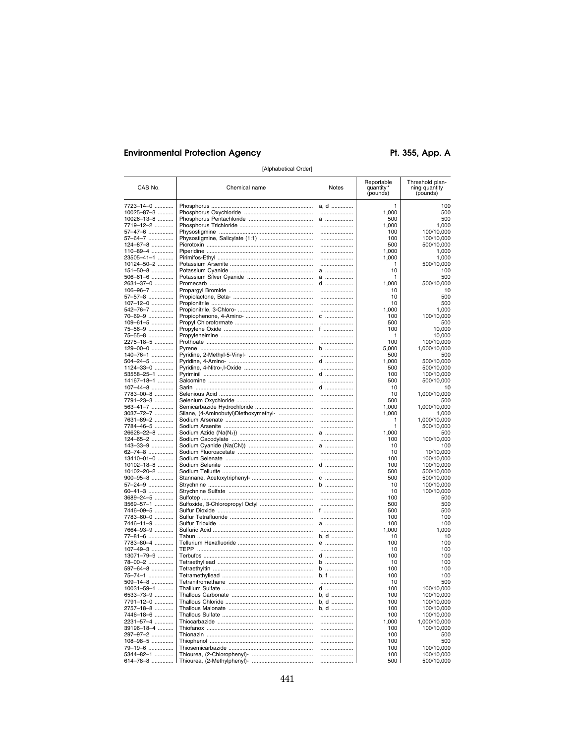Pt. 355, App. A

| 7723-14-0<br>a, d<br>1<br>10025-87-3<br>1,000<br>                                 | 100<br>500<br>500        |
|-----------------------------------------------------------------------------------|--------------------------|
|                                                                                   |                          |
|                                                                                   |                          |
| 10026-13-8<br>500<br>a                                                            |                          |
| 7719-12-2<br><br>1,000                                                            | 1,000                    |
| 57-47-6<br>100                                                                    | 100/10,000               |
| 57-64-7<br>.<br>100                                                               | 100/10,000               |
| 500<br>124-87-8                                                                   | 500/10,000               |
| 110-89-4<br>1,000<br>.<br>23505-41-1<br>1,000                                     | 1,000<br>1,000           |
| 10124-50-2<br>1                                                                   | 500/10,000               |
| 151-50-8<br>10                                                                    | 100                      |
| 506-61-6<br>a<br>1                                                                | 500                      |
| 2631-37-0<br>1,000<br>d                                                           | 500/10,000               |
| 106-96-7<br>10<br>                                                                | 10                       |
| 57-57-8<br>10<br>                                                                 | 500                      |
| 107-12-0<br><br>10                                                                | 500                      |
| 542-76-7<br><br>1.000                                                             | 1.000                    |
| 70-69-9<br>C<br>100                                                               | 100/10,000               |
| 109-61-5<br>500<br>100                                                            | 500                      |
| 75-56-9<br>f<br>75-55-8<br>1                                                      | 10,000<br>10,000         |
| 2275-18-5<br>100                                                                  | 100/10,000               |
| 129-00-0<br>b<br>5,000                                                            | 1,000/10,000             |
| 140-76-1<br><br>500                                                               | 500                      |
| 504-24-5<br>d<br>1,000                                                            | 500/10,000               |
| <br>1124-33-0<br>500                                                              | 500/10,000               |
| d<br>53558-25-1<br>100                                                            | 100/10,000               |
| 500<br>14167-18-1<br>                                                             | 500/10,000               |
| $d$<br>10<br>107-44-8                                                             | 10                       |
| 10<br>7783-00-8<br>                                                               | 1,000/10,000             |
| 500<br>7791-23-3<br>                                                              | 500                      |
| 1,000<br>563-41-7<br>                                                             | 1,000/10,000             |
| Silane, (4-Aminobutyl)Diethoxymethyl-<br>1,000<br>3037-72-7<br><br>7631-89-2<br>1 | 1,000<br>1,000/10,000    |
| 7784-46-5<br><br>1                                                                | 500/10,000               |
| 1,000<br>26628-22-8<br>a                                                          | 500                      |
| 124-65-2<br>100                                                                   | 100/10,000               |
| 143-33-9<br>a<br>10                                                               | 100                      |
| 62-74-8<br>10                                                                     | 10/10,000                |
| 13410-01-0<br>100                                                                 | 100/10,000               |
| 10102-18-8<br>d<br>100                                                            | 100/10,000               |
| 10102-20-2<br>500                                                                 | 500/10,000               |
| 900-95-8<br>C<br>500                                                              | 500/10,000               |
| 57-24-9<br>b<br>10                                                                | 100/10,000<br>100/10,000 |
| 60-41-3<br><br>10<br>3689-24-5<br>100<br>                                         | 500                      |
| 3569-57-1<br>500                                                                  | 500                      |
| 7446-09-5<br>f<br>500                                                             | 500                      |
| 7783-60-0<br><br>100                                                              | 100                      |
| 7446-11-9<br>a<br>100                                                             | 100                      |
| 1,000<br>7664-93-9<br>                                                            | 1,000                    |
| b, d<br>77-81-6<br>10                                                             | 10                       |
| 7783-80-4<br>e<br>100                                                             | 100                      |
| 107-49-3<br><br>10                                                                | 100                      |
| 13071-79-9<br>d<br>100<br>78-00-2<br>b<br>10                                      | 100<br>100               |
| 597-64-8<br>b<br>100                                                              | 100                      |
| 100<br>75-74-1<br>b, f                                                            | 100                      |
| 509-14-8<br><br>10                                                                | 500                      |
| $10031 - 59 - 1$<br>$d$<br>100                                                    | 100/10.000               |
| 6533-73-9<br>b, d<br>100                                                          | 100/10,000               |
| 7791-12-0<br>b, d<br>100                                                          | 100/10,000               |
| 2757-18-8<br>b. d<br>100                                                          | 100/10.000               |
| 7446-18-6<br><br>100                                                              | 100/10,000               |
| 2231-57-4<br><br>1,000                                                            | 1,000/10,000             |
| 39196-18-4<br>100                                                                 | 100/10,000               |
| 297-97-2<br><br>100                                                               | 500                      |
| 108-98-5<br><br>100<br>79-19-6<br><br>100                                         | 500<br>100/10.000        |
| 100<br>5344-82-1<br>                                                              | 100/10,000               |
| 614-78-8<br>500                                                                   | 500/10,000               |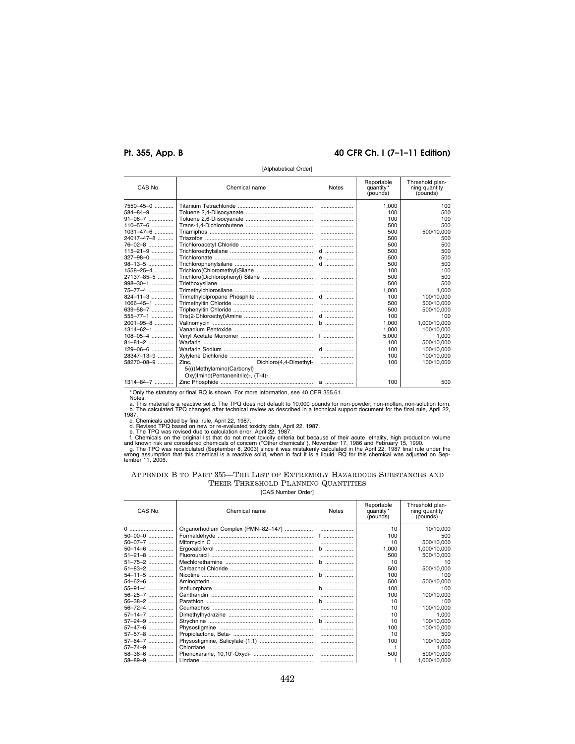# **Pt. 355, App. B 40 CFR Ch. I (7–1–11 Edition)**

| $\mu$ upwavvuva vidul |                                     |              |                                     |                                              |
|-----------------------|-------------------------------------|--------------|-------------------------------------|----------------------------------------------|
| CAS No.               | Chemical name                       | <b>Notes</b> | Reportable<br>quantity*<br>(pounds) | Threshold plan-<br>ning quantity<br>(pounds) |
| 7550-45-0             |                                     |              | 1.000                               | 100                                          |
| 584-84-9              |                                     |              | 100                                 | 500                                          |
| 91-08-7               |                                     |              | 100                                 | 100                                          |
| 110-57-6              |                                     |              | 500                                 | 500                                          |
| 1031-47-6             |                                     |              | 500                                 | 500/10,000                                   |
| 24017–47–8 ……….       |                                     |              | 500                                 | 500                                          |
| 76-02-8               |                                     |              | 500                                 | 500                                          |
| 115–21–9              |                                     |              | 500                                 | 500                                          |
| 327–98–0              |                                     | $e$          | 500                                 | 500                                          |
| 98–13–5               |                                     |              | 500                                 | 500                                          |
| 1558-25-4             |                                     |              | 100                                 | 100                                          |
| 27137–85–5 ……….       |                                     |              | 500                                 | 500                                          |
| 998-30-1              |                                     |              | 500                                 | 500                                          |
| 75–77–4               |                                     |              | 1.000                               | 1.000                                        |
| 824-11-3              |                                     | $d$          | 100                                 | 100/10.000                                   |
| 1066-45-1             |                                     |              | 500                                 | 500/10,000                                   |
| 639-58-7              |                                     |              | 500                                 | 500/10.000                                   |
| 555-77-1              |                                     | $d$          | 100                                 | 100                                          |
| 2001–95–8 …………        |                                     | $b$          | 1.000                               | 1.000/10.000                                 |
| 1314-62-1             |                                     | l            | 1,000                               | 100/10,000                                   |
| $108 - 05 - 4$        |                                     |              | 5.000                               | 1.000                                        |
| 81–81–2 ……………         |                                     |              | 100                                 | 500/10,000                                   |
| $129 - 06 - 6$        |                                     |              | 100                                 | 100/10,000                                   |
| 28347-13-9            |                                     |              | 100                                 | 100/10.000                                   |
| 58270-08-9            | Dichloro(4.4-Dimethyl-<br>Zinc.     |              | 100                                 | 100/10.000                                   |
|                       | 5((((Methylamino)Carbonyl)          |              |                                     |                                              |
|                       | Oxy)Imino)Pentanenitrile)-, (T-4)-. |              |                                     |                                              |
| 1314-84-7             |                                     |              | 100                                 | 500                                          |

[Alphabetical Order]

\* Only the statutory or final RQ is shown. For more information, see 40 CFR 355.61.<br>
Notes:<br>
a. This material is a reactive solid. The TPQ does not default to 10,000 pounds for non-powder, non-molten, non-solution form.<br>
b

# APPENDIX B TO PART 355—THE LIST OF EXTREMELY HAZARDOUS SUBSTANCES AND THEIR THRESHOLD PLANNING QUANTITIES

| CAS No.       | Chemical name | <b>Notes</b> | Reportable<br>quantity *<br>(pounds) | Threshold plan-<br>ning quantity<br>(pounds) |
|---------------|---------------|--------------|--------------------------------------|----------------------------------------------|
| 0             |               |              | 10                                   | 10/10.000                                    |
| 50-00-0       |               |              | 100                                  | 500                                          |
| 50-07-7       |               |              | 10                                   | 500/10.000                                   |
| 50-14-6       |               | b            | 1.000                                | 1.000/10.000                                 |
| $51 - 21 - 8$ |               |              | 500                                  | 500/10,000                                   |
| 51-75-2       |               | b            | 10                                   | 10                                           |
| 51-83-2       |               |              | 500                                  | 500/10.000                                   |
| 54-11-5       |               | b            | 100                                  | 100                                          |
| 54-62-6       |               |              | 500                                  | 500/10,000                                   |
| 55-91-4       |               | b            | 100                                  | 100                                          |
| 56-25-7       |               |              | 100                                  | 100/10,000                                   |
| 56-38-2       |               | b            | 10                                   | 100                                          |
| $56 - 72 - 4$ |               |              | 10 <sup>1</sup>                      | 100/10.000                                   |
| 57-14-7       |               |              | 10                                   | 1,000                                        |
| 57-24-9       |               | b            | 10                                   | 100/10.000                                   |
| 57-47-6       |               |              | 100                                  | 100/10,000                                   |
| 57-57-8       |               |              | 10                                   | 500                                          |
| 57-64-7       |               |              | 100                                  | 100/10,000                                   |
| 57-74-9       |               |              |                                      | 1.000                                        |
| 58-36-6       |               |              | 500                                  | 500/10.000                                   |
| 58-89-9       |               |              |                                      | 1.000/10.000                                 |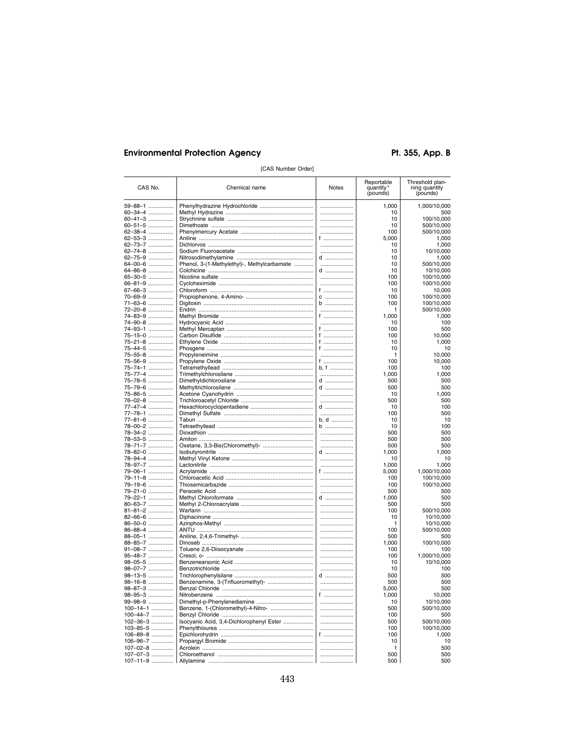Pt. 355, App. B

| CAS No.                  | Chemical name                               | Notes          | Reportable<br>quantity *<br>(pounds) | Threshold plan-<br>ning quantity<br>(pounds) |
|--------------------------|---------------------------------------------|----------------|--------------------------------------|----------------------------------------------|
| 59-88-1                  |                                             |                | 1.000                                | 1,000/10,000                                 |
| 60-34-4                  |                                             |                | 10                                   | 500                                          |
| 60-41-3                  |                                             |                | 10                                   | 100/10,000                                   |
| 60-51-5                  |                                             |                | 10                                   | 500/10,000                                   |
| 62-38-4                  |                                             |                | 100                                  | 500/10,000                                   |
| 62-53-3<br>62–73–7 …………… |                                             | f              | 5,000<br>10                          | 1,000<br>1,000                               |
| 62-74-8                  |                                             |                | 10                                   | 10/10,000                                    |
| 62-75-9                  |                                             | d              | 10                                   | 1,000                                        |
| 64-00-6                  | Phenol, 3-(1-Methylethyl)-, Methylcarbamate |                | 10                                   | 500/10,000                                   |
| 64-86-8                  |                                             | d              | 10                                   | 10/10,000                                    |
| 65-30-5                  |                                             |                | 100                                  | 100/10,000                                   |
| 66-81-9<br>67-66-3       |                                             |                | 100                                  | 100/10,000                                   |
| 70–69–9                  |                                             | f …………………<br>C | 10<br>100                            | 10,000<br>100/10,000                         |
| 71–63–6                  |                                             | b              | 100                                  | 100/10,000                                   |
| 72–20–8 ……………            |                                             |                | 1                                    | 500/10,000                                   |
| 74–83–9                  |                                             | f              | 1,000                                | 1,000                                        |
| 74-90-8                  |                                             |                | 10                                   | 100                                          |
| 74–93–1                  |                                             | f              | 100                                  | 500                                          |
| 75–15–0                  |                                             | f              | 100                                  | 10,000                                       |
| 75–21–8                  |                                             | f<br>f         | 10<br>10                             | 1,000                                        |
| 75–44–5<br>75-55-8       |                                             |                | 1                                    | 10<br>10,000                                 |
| 75-56-9                  |                                             | f              | 100                                  | 10,000                                       |
| 75–74–1                  |                                             | b, f           | 100                                  | 100                                          |
| 75-77-4                  |                                             |                | 1,000                                | 1,000                                        |
| 75-78-5                  |                                             | d              | 500                                  | 500                                          |
| 75–79–6                  |                                             | d              | 500                                  | 500                                          |
| 75-86-5                  |                                             |                | 10                                   | 1.000                                        |
| 76-02-8<br>77-47-4       |                                             |                | 500                                  | 500                                          |
| 77–78–1 ……………            |                                             | d<br>          | 10<br>100                            | 100<br>500                                   |
| 77–81–6 ……………            |                                             | b, d           | 10                                   | 10                                           |
| 78–00–2 ……………            |                                             | b              | 10                                   | 100                                          |
| 78-34-2                  |                                             |                | 500                                  | 500                                          |
| 78-53-5                  |                                             |                | 500                                  | 500                                          |
| 78–71–7 ……………            |                                             |                | 500                                  | 500                                          |
| 78–82–0                  |                                             | d              | 1,000                                | 1,000                                        |
| 78-94-4<br>78–97–7 …………… |                                             |                | 10<br>1,000                          | 10<br>1,000                                  |
| 79-06-1                  |                                             | f …………………      | 5,000                                | 1,000/10,000                                 |
| 79–11–8                  |                                             |                | 100                                  | 100/10,000                                   |
| 79–19–6 ……………            |                                             |                | 100                                  | 100/10,000                                   |
| 79–21–0 ……………            |                                             |                | 500                                  | 500                                          |
| 79–22–1                  |                                             | d              | 1,000                                | 500                                          |
| 80–63–7                  |                                             |                | 500                                  | 500                                          |
| 81-81-2<br>82-66-6       |                                             |                | 100<br>10                            | 500/10,000                                   |
| 86-50-0                  |                                             | <br>           | 1                                    | 10/10,000<br>10/10,000                       |
| 86-88-4                  |                                             |                | 100                                  | 500/10,000                                   |
| 88-05-1                  |                                             |                | 500                                  | 500                                          |
| 88-85-7                  |                                             |                | 1,000                                | 100/10,000                                   |
| 91-08-7                  |                                             |                | 100                                  | 100                                          |
| 95-48-7                  |                                             |                | 100                                  | 1,000/10,000                                 |
| 98-05-5                  |                                             |                | 10                                   | 10/10,000                                    |
| 98–07–7<br>98–13–5       |                                             | <br>d          | 10<br>500                            | 100<br>500                                   |
| 98-16-8                  |                                             |                | 500                                  | 500                                          |
| 98-87-3                  |                                             |                | 5,000                                | 500                                          |
| 98–95–3                  |                                             | 1              | 1,000                                | 10,000                                       |
| 99-98-9                  |                                             |                | 10                                   | 10/10,000                                    |
| $100 - 14 - 1$           | Benzene, 1-(Chloromethyl)-4-Nitro-          |                | 500                                  | 500/10,000                                   |
| 100-44-7                 |                                             |                | 100                                  | 500                                          |
| 102-36-3                 | Isocyanic Acid, 3,4-Dichlorophenyl Ester    |                | 500                                  | 500/10,000                                   |
| 103-85-5                 |                                             |                | 100                                  | 100/10,000<br>1,000                          |
| 106-89-8<br>106-96-7     |                                             | f<br>          | 100<br>10                            | 10                                           |
| 107-02-8                 |                                             |                | 1                                    | 500                                          |
| 107-07-3                 |                                             |                | 500                                  | 500                                          |
| 107-11-9                 |                                             |                | 500                                  | 500                                          |

[CAS Number Order]

443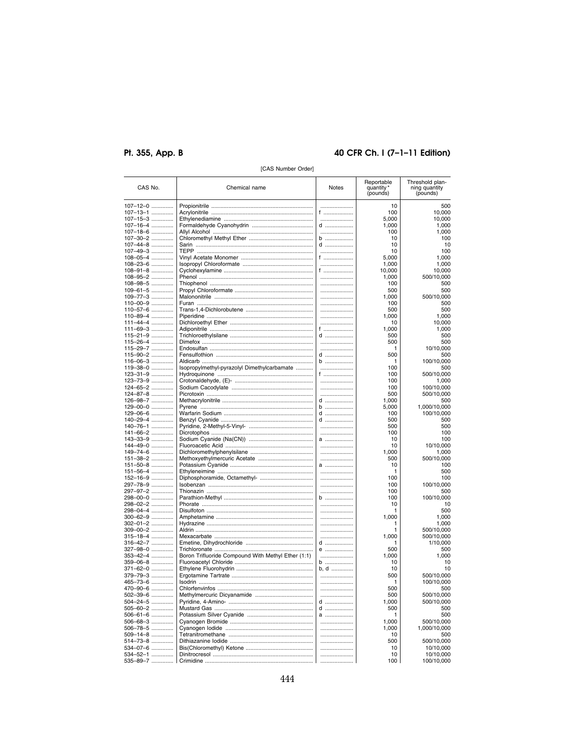# Pt. 355, App. B

# 40 CFR Ch. I (7-1-11 Edition)

| CAS No.              | Chemical name                                      | Notes         | Reportable<br>quantity<br>(pounds) | Threshold plan-<br>ning quantity<br>(pounds) |
|----------------------|----------------------------------------------------|---------------|------------------------------------|----------------------------------------------|
| 107–12–0             |                                                    |               | 10                                 | 500                                          |
| 107-13-1             |                                                    | f             | 100                                | 10,000                                       |
| 107-15-3             |                                                    | .             | 5,000                              | 10,000                                       |
| 107-16-4             |                                                    | d             | 1,000                              | 1,000                                        |
| 107-18-6             |                                                    |               | 100                                | 1,000                                        |
| 107-30-2             |                                                    | $b$           | 10                                 | 100                                          |
| 107-44-8             |                                                    | d             | 10<br>10                           | 10<br>100                                    |
| 107-49-3<br>108-05-4 |                                                    | f ………………      | 5,000                              | 1,000                                        |
| 108-23-6             |                                                    |               | 1.000                              | 1,000                                        |
| 108-91-8             |                                                    | f ………………      | 10,000                             | 10,000                                       |
| 108-95-2             |                                                    |               | 1,000                              | 500/10,000                                   |
| 108-98-5             |                                                    |               | 100                                | 500                                          |
| 109-61-5             |                                                    |               | 500                                | 500                                          |
| 109-77-3             |                                                    |               | 1,000                              | 500/10,000                                   |
| 110-00-9             |                                                    |               | 100                                | 500                                          |
| 110-57-6             |                                                    |               | 500                                | 500                                          |
| 110-89-4             |                                                    |               | 1,000                              | 1,000                                        |
| 111-44-4             |                                                    |               | 10                                 | 10,000                                       |
| 111-69-3<br>115-21-9 |                                                    | f ………………<br>d | 1,000<br>500                       | 1,000<br>500                                 |
| 115-26-4             |                                                    |               | 500                                | 500                                          |
| 115-29-7             |                                                    |               | 1                                  | 10/10,000                                    |
| 115-90-2             |                                                    | d             | 500                                | 500                                          |
| 116-06-3             |                                                    | b             | 1                                  | 100/10,000                                   |
| 119-38-0             | Isopropylmethyl-pyrazolyl Dimethylcarbamate        |               | 100                                | 500                                          |
| 123-31-9             |                                                    | f             | 100                                | 500/10,000                                   |
| 123-73-9             |                                                    |               | 100                                | 1,000                                        |
| 124-65-2             |                                                    |               | 100                                | 100/10,000                                   |
| 124-87-8             |                                                    |               | 500                                | 500/10,000                                   |
| 126-98-7             |                                                    | d             | 1,000                              | 500                                          |
| 129-00-0             |                                                    | b             | 5,000                              | 1,000/10,000                                 |
| 129-06-6<br>140-29-4 |                                                    | d<br>$d$      | 100<br>500                         | 100/10,000                                   |
| 140-76-1             |                                                    |               | 500                                | 500<br>500                                   |
| 141-66-2             |                                                    |               | 100                                | 100                                          |
| 143-33-9             |                                                    | $a$           | 10                                 | 100                                          |
| 144-49-0             |                                                    |               | 10                                 | 10/10,000                                    |
| 149-74-6             |                                                    |               | 1,000                              | 1,000                                        |
| 151-38-2             |                                                    |               | 500                                | 500/10,000                                   |
| 151-50-8             |                                                    | a             | 10                                 | 100                                          |
| 151-56-4             |                                                    |               | 1                                  | 500                                          |
| 152-16-9             |                                                    |               | 100                                | 100                                          |
| 297-78-9             |                                                    |               | 100                                | 100/10,000                                   |
| 297-97-2             |                                                    | <br>$b$       | 100                                | 500                                          |
| 298-00-0<br>298-02-2 |                                                    |               | 100<br>10                          | 100/10,000<br>10                             |
| 298-04-4             |                                                    |               | 1                                  | 500                                          |
| 300-62-9             |                                                    |               | 1,000                              | 1,000                                        |
| 302-01-2             |                                                    |               | 1                                  | 1,000                                        |
| 309-00-2             |                                                    |               | 1                                  | 500/10,000                                   |
| 315-18-4             |                                                    |               | 1,000                              | 500/10,000                                   |
| 316-42-7             |                                                    | d             | 1                                  | 1/10.000                                     |
| 327-98-0             |                                                    | e             | 500                                | 500                                          |
| 353-42-4             | Boron Trifluoride Compound With Methyl Ether (1:1) |               | 1,000                              | 1,000                                        |
| 359–06–8             |                                                    | b             | 10                                 | 10                                           |
| 371-62-0             |                                                    | b, d          | 10                                 | 10                                           |
| 379–79–3<br>465-73-6 |                                                    |               | 500<br>1                           | 500/10,000<br>100/10,000                     |
| 470-90-6             |                                                    |               | 500                                | 500                                          |
| 502-39-6             |                                                    |               | 500                                | 500/10,000                                   |
| 504-24-5             |                                                    | d             | 1,000                              | 500/10,000                                   |
| 505-60-2             |                                                    | d             | 500                                | 500                                          |
| 506-61-6             |                                                    | a             |                                    | 500                                          |
| 506-68-3             |                                                    |               | 1,000                              | 500/10,000                                   |
| 506-78-5             |                                                    |               | 1,000                              | 1,000/10,000                                 |
| 509-14-8             |                                                    |               | 10                                 | 500                                          |
| 514-73-8             |                                                    |               | 500                                | 500/10,000                                   |
| 534-07-6             |                                                    |               | 10                                 | 10/10,000                                    |
| 534-52-1             |                                                    |               | 10                                 | 10/10,000                                    |
| 535-89-7             |                                                    |               | 100                                | 100/10,000                                   |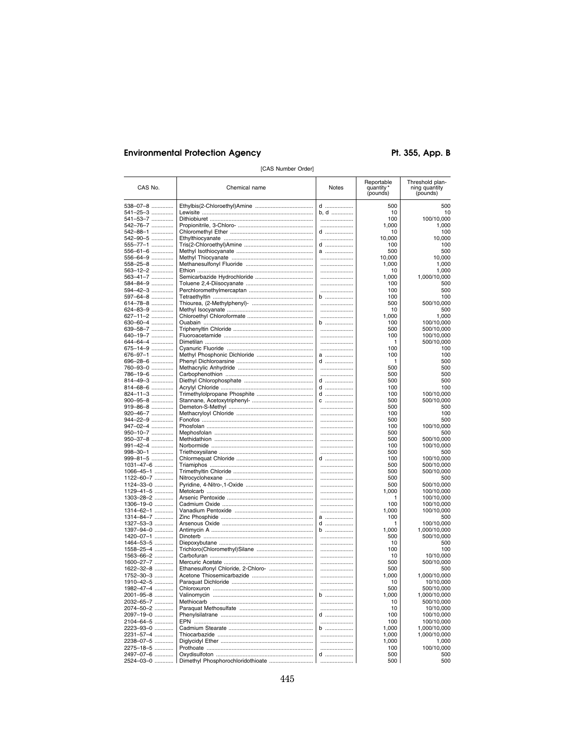Pt. 355, App. B

| CAS No.                    | Chemical name | <b>Notes</b> | Reportable<br>quantity*<br>(pounds) | Threshold plan-<br>ning quantity<br>(pounds) |
|----------------------------|---------------|--------------|-------------------------------------|----------------------------------------------|
| 538–07–8                   |               | d            | 500                                 | 500                                          |
| 541–25–3 ……………             |               | b, d         | 10                                  | 10                                           |
| 541–53–7                   |               |              | 100                                 | 100/10,000                                   |
| 542-76-7                   |               |              | 1.000                               | 1,000                                        |
| 542–88–1<br>542-90-5       |               | d            | 10<br>10,000                        | 100<br>10,000                                |
| 555-77-1                   |               | d            | 100                                 | 100                                          |
| 556–61–6                   |               | a            | 500                                 | 500                                          |
| 556–64–9                   |               |              | 10,000                              | 10,000                                       |
| 558-25-8                   |               |              | 1,000                               | 1,000                                        |
| 563–12–2 ……………             |               |              | 10                                  | 1,000                                        |
| 563–41–7 ………….             |               |              | 1,000                               | 1,000/10,000                                 |
| 584-84-9                   |               |              | 100<br>100                          | 500<br>500                                   |
| 594–42–3 ……………<br>597-64-8 |               | <br>b        | 100                                 | 100                                          |
| 614–78–8 ……………             |               |              | 500                                 | 500/10,000                                   |
| 624-83-9                   |               |              | 10                                  | 500                                          |
| 627-11-2                   |               |              | 1,000                               | 1,000                                        |
| 630-60-4                   |               | b            | 100                                 | 100/10,000                                   |
| 639–58–7                   |               |              | 500                                 | 500/10,000                                   |
| 640–19–7 ……………             |               |              | 100                                 | 100/10,000                                   |
| 644–64–4 ………….             |               |              | 1                                   | 500/10,000                                   |
| 675-14-9                   |               |              | 100                                 | 100                                          |
| 676–97–1 ……………<br>696-28-6 |               | a<br>d       | 100<br>1                            | 100<br>500                                   |
| 760–93–0                   |               |              | 500                                 | 500                                          |
| 786-19-6                   |               |              | 500                                 | 500                                          |
| 814-49-3                   |               | $d$          | 500                                 | 500                                          |
| 814-68-6                   |               | d            | 100                                 | 100                                          |
| 824-11-3                   |               | d            | 100                                 | 100/10,000                                   |
| 900-95-8                   |               | $C$          | 500                                 | 500/10,000                                   |
| 919-86-8                   |               |              | 500                                 | 500                                          |
| 920-46-7                   |               |              | 100                                 | 100                                          |
| 944-22-9                   |               |              | 500                                 | 500                                          |
| 947-02-4<br>950-10-7       |               |              | 100<br>500                          | 100/10,000<br>500                            |
| 950-37-8                   |               |              | 500                                 | 500/10,000                                   |
| 991-42-4                   |               |              | 100                                 | 100/10,000                                   |
| 998-30-1                   |               |              | 500                                 | 500                                          |
| 999-81-5                   |               | d            | 100                                 | 100/10,000                                   |
| 1031-47-6                  |               |              | 500                                 | 500/10,000                                   |
| 1066-45-1                  |               |              | 500                                 | 500/10,000                                   |
| 1122-60-7                  |               |              | 500                                 | 500                                          |
| 1124-33-0                  |               |              | 500                                 | 500/10,000                                   |
| 1129-41-5<br>1303-28-2     |               | <br>         | 1,000<br>1                          | 100/10,000<br>100/10,000                     |
| 1306-19-0                  |               |              | 100                                 | 100/10,000                                   |
| 1314-62-1                  |               |              | 1,000                               | 100/10,000                                   |
| 1314-84-7                  |               | a            | 100                                 | 500                                          |
| 1327-53-3                  |               | d            | 1                                   | 100/10,000                                   |
| 1397-94-0                  |               | b            | 1,000                               | 1,000/10,000                                 |
| 1420-07-1                  |               |              | 500                                 | 500/10,000                                   |
| 1464-53-5                  |               |              | 10                                  | 500                                          |
| 1558-25-4                  |               |              | 100<br>10                           | 100<br>10/10,000                             |
| 1563-66-2<br>1600-27-7     |               |              | 500                                 | 500/10,000                                   |
| 1622-32-8                  |               |              | 500                                 | 500                                          |
| 1752-30-3                  |               |              | 1,000                               | 1,000/10,000                                 |
| 1910-42-5                  |               |              | 10                                  | 10/10,000                                    |
| 1982-47-4                  |               |              | 500                                 | 500/10,000                                   |
| 2001–95–8 …………             |               | D            | 1,000                               | 1,000/10,000                                 |
| 2032-65-7                  |               |              | 10                                  | 500/10,000                                   |
| 2074-50-2                  |               |              | 10                                  | 10/10,000                                    |
| 2097-19-0                  |               | d            | 100                                 | 100/10,000                                   |
| 2104-64-5                  |               |              | 100                                 | 100/10,000                                   |
| 2223-93-0                  |               | b            | 1,000                               | 1,000/10,000                                 |
| 2231-57-4<br>2238-07-5     |               | <br>         | 1,000                               | 1,000/10,000                                 |
| 2275-18-5                  |               |              | 1,000<br>100                        | 1,000<br>100/10,000                          |
| 2497-07-6                  |               | d            | 500                                 | 500                                          |
| 2524-03-0                  |               |              | 500                                 | 500                                          |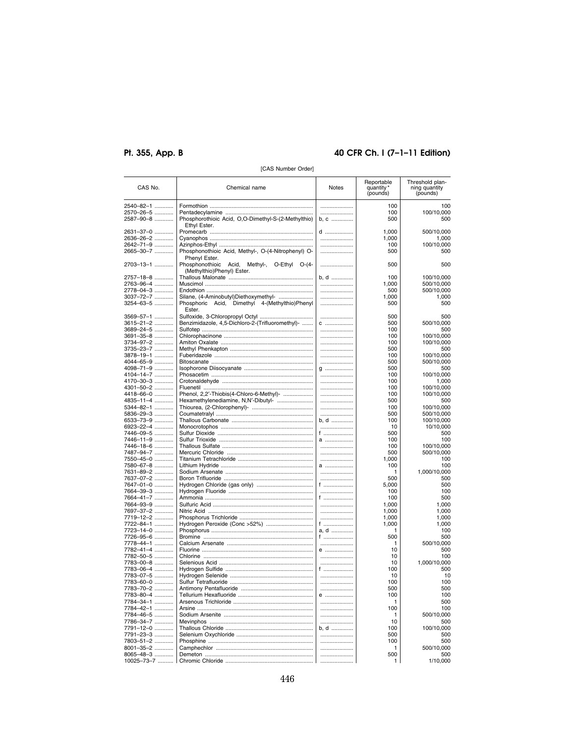# Pt. 355, App. B

# 40 CFR Ch. I (7-1-11 Edition)

| CAS No.    | Chemical name                                       | Notes    | Reportable<br>quantity*<br>(pounds) | Threshold plan-<br>ning quantity<br>(pounds) |
|------------|-----------------------------------------------------|----------|-------------------------------------|----------------------------------------------|
| 2540-82-1  |                                                     |          | 100                                 | 100                                          |
|            |                                                     |          |                                     |                                              |
| 2570-26-5  |                                                     |          | 100                                 | 100/10,000                                   |
| 2587-90-8  | Phosphorothioic Acid, O,O-Dimethyl-S-(2-Methylthio) | b, c     | 500                                 | 500                                          |
|            | Ethyl Ester.                                        |          |                                     |                                              |
| 2631-37-0  |                                                     | d        | 1,000                               | 500/10,000                                   |
| 2636-26-2  |                                                     |          | 1,000                               | 1,000                                        |
| 2642-71-9  |                                                     |          | 100                                 | 100/10,000                                   |
| 2665-30-7  | Phosphonothioic Acid, Methyl-, O-(4-Nitrophenyl) O- |          | 500                                 | 500                                          |
|            |                                                     |          |                                     |                                              |
|            | Phenyl Ester.                                       |          |                                     |                                              |
| 2703-13-1  | Phosphonothioic Acid, Methyl-, O-Ethyl O-(4-        | .        | 500                                 | 500                                          |
|            | (Methylthio)Phenyl) Ester.                          |          |                                     |                                              |
| 2757-18-8  |                                                     | b, d     | 100                                 | 100/10,000                                   |
| 2763-96-4  |                                                     |          | 1.000                               | 500/10,000                                   |
| 2778-04-3  |                                                     |          | 500                                 | 500/10,000                                   |
| 3037-72-7  | Silane, (4-Aminobutyl)Diethoxymethyl-               |          | 1,000                               | 1.000                                        |
| 3254-63-5  | Phosphoric Acid, Dimethyl 4-(Methylthio)Phenyl      |          | 500                                 | 500                                          |
|            |                                                     |          |                                     |                                              |
|            | Ester.                                              |          |                                     |                                              |
| 3569-57-1  |                                                     |          | 500                                 | 500                                          |
| 3615-21-2  | Benzimidazole, 4,5-Dichloro-2-(Trifluoromethyl)-    | C        | 500                                 | 500/10,000                                   |
| 3689-24-5  |                                                     |          | 100                                 | 500                                          |
| 3691-35-8  |                                                     |          | 100                                 | 100/10,000                                   |
| 3734-97-2  |                                                     |          | 100                                 | 100/10,000                                   |
| 3735-23-7  |                                                     |          | 500                                 | 500                                          |
|            |                                                     |          | 100                                 | 100/10,000                                   |
| 3878-19-1  |                                                     |          |                                     |                                              |
| 4044-65-9  |                                                     |          | 500                                 | 500/10,000                                   |
| 4098-71-9  |                                                     | g        | 500                                 | 500                                          |
| 4104-14-7  |                                                     |          | 100                                 | 100/10,000                                   |
| 4170-30-3  |                                                     |          | 100                                 | 1,000                                        |
| 4301-50-2  |                                                     |          | 100                                 | 100/10,000                                   |
| 4418-66-0  | Phenol, 2,2'-Thiobis(4-Chloro-6-Methyl)-            |          | 100                                 | 100/10,000                                   |
| 4835-11-4  | Hexamethylenediamine, N,N'-Dibutyl-                 |          | 500                                 | 500                                          |
| 5344-82-1  |                                                     |          | 100                                 | 100/10,000                                   |
|            |                                                     |          |                                     |                                              |
| 5836-29-3  |                                                     |          | 500                                 | 500/10,000                                   |
| 6533-73-9  |                                                     | b. d     | 100                                 | 100/10,000                                   |
| 6923-22-4  |                                                     |          | 10                                  | 10/10,000                                    |
| 7446-09-5  |                                                     | f        | 500                                 | 500                                          |
| 7446-11-9  |                                                     |          | 100                                 | 100                                          |
| 7446-18-6  |                                                     |          | 100                                 | 100/10,000                                   |
| 7487-94-7  |                                                     |          | 500                                 | 500/10,000                                   |
| 7550-45-0  |                                                     |          | 1,000                               | 100                                          |
| 7580-67-8  |                                                     | a        | 100                                 | 100                                          |
|            |                                                     |          |                                     |                                              |
| 7631-89-2  |                                                     |          | 1                                   | 1,000/10,000                                 |
| 7637-07-2  |                                                     |          | 500                                 | 500                                          |
| 7647-01-0  |                                                     | f ……………… | 5,000                               | 500                                          |
| 7664-39-3  |                                                     |          | 100                                 | 100                                          |
| 7664-41-7  |                                                     | f ……………… | 100                                 | 500                                          |
| 7664-93-9  |                                                     |          | 1,000                               | 1.000                                        |
| 7697-37-2  |                                                     |          | 1,000                               | 1,000                                        |
| 7719-12-2  |                                                     |          | 1,000                               | 1,000                                        |
|            |                                                     |          |                                     |                                              |
| 7722-84-1  | Hydrogen Peroxide (Conc >52%)                       | f ……………… | 1,000                               | 1,000                                        |
| 7723-14-0  |                                                     | a, d     | 1                                   | 100                                          |
| 7726-95-6  |                                                     | f        | 500                                 | 500                                          |
| 7778-44-1  |                                                     |          | 1                                   | 500/10,000                                   |
| 7782-41-4  |                                                     | e        | 10                                  | 500                                          |
| 7782-50-5  |                                                     |          | 10                                  | 100                                          |
| 7783-00-8  |                                                     |          | 10                                  | 1,000/10,000                                 |
| 7783-06-4  |                                                     | f        | 100                                 | 500                                          |
|            |                                                     |          | 10                                  | 10                                           |
| 7783-07-5  |                                                     |          | 100                                 |                                              |
| 7783-60-0  |                                                     |          |                                     | 100                                          |
| 7783-70-2  |                                                     |          | 500                                 | 500                                          |
| 7783-80-4  |                                                     | $\theta$ | 100                                 | 100                                          |
| 7784-34-1  |                                                     |          | 1                                   | 500                                          |
| 7784-42-1  |                                                     |          | 100                                 | 100                                          |
| 7784-46-5  |                                                     |          | 1                                   | 500/10,000                                   |
| 7786-34-7  |                                                     |          | 10                                  | 500                                          |
|            |                                                     | b. d     | 100                                 |                                              |
| 7791-12-0  |                                                     |          |                                     | 100/10,000                                   |
| 7791-23-3  |                                                     |          | 500                                 | 500                                          |
| 7803-51-2  |                                                     |          | 100                                 | 500                                          |
| 8001-35-2  |                                                     |          | 1                                   | 500/10,000                                   |
| 8065-48-3  |                                                     |          | 500                                 | 500                                          |
| 10025-73-7 |                                                     |          | 1                                   | 1/10,000                                     |
|            |                                                     |          |                                     |                                              |